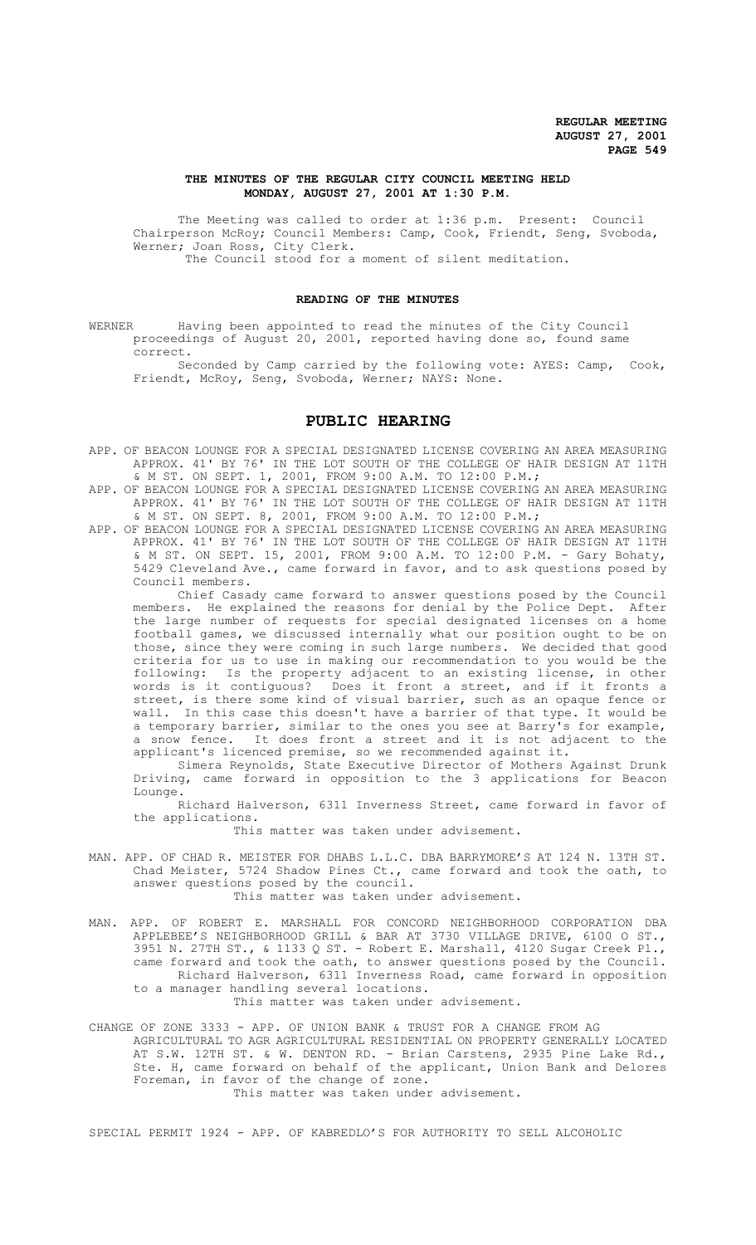### **THE MINUTES OF THE REGULAR CITY COUNCIL MEETING HELD MONDAY, AUGUST 27, 2001 AT 1:30 P.M.**

The Meeting was called to order at 1:36 p.m. Present: Council Chairperson McRoy; Council Members: Camp, Cook, Friendt, Seng, Svoboda, Werner; Joan Ross, City Clerk. The Council stood for a moment of silent meditation.

#### **READING OF THE MINUTES**

WERNER Having been appointed to read the minutes of the City Council proceedings of August 20, 2001, reported having done so, found same correct.

Seconded by Camp carried by the following vote: AYES: Camp, Cook, Friendt, McRoy, Seng, Svoboda, Werner; NAYS: None.

# **PUBLIC HEARING**

- APP. OF BEACON LOUNGE FOR A SPECIAL DESIGNATED LICENSE COVERING AN AREA MEASURING APPROX. 41' BY 76' IN THE LOT SOUTH OF THE COLLEGE OF HAIR DESIGN AT 11TH & M ST. ON SEPT. 1, 2001, FROM 9:00 A.M. TO 12:00 P.M.;
- APP. OF BEACON LOUNGE FOR A SPECIAL DESIGNATED LICENSE COVERING AN AREA MEASURING APPROX. 41' BY 76' IN THE LOT SOUTH OF THE COLLEGE OF HAIR DESIGN AT 11TH & M ST. ON SEPT. 8, 2001, FROM 9:00 A.M. TO 12:00 P.M.;
- APP. OF BEACON LOUNGE FOR A SPECIAL DESIGNATED LICENSE COVERING AN AREA MEASURING APPROX. 41' BY 76' IN THE LOT SOUTH OF THE COLLEGE OF HAIR DESIGN AT 11TH & M ST. ON SEPT. 15, 2001, FROM 9:00 A.M. TO 12:00 P.M. - Gary Bohaty, 5429 Cleveland Ave., came forward in favor, and to ask questions posed by Council members.

Chief Casady came forward to answer questions posed by the Council members. He explained the reasons for denial by the Police Dept. After the large number of requests for special designated licenses on a home football games, we discussed internally what our position ought to be on those, since they were coming in such large numbers. We decided that good criteria for us to use in making our recommendation to you would be the following: Is the property adjacent to an existing license, in other words is it contiguous? Does it front a street, and if it fronts a street, is there some kind of visual barrier, such as an opaque fence or wall. In this case this doesn't have a barrier of that type. It would be a temporary barrier, similar to the ones you see at Barry's for example, a snow fence. It does front a street and it is not adjacent to the applicant's licenced premise, so we recommended against it.

Simera Reynolds, State Executive Director of Mothers Against Drunk Driving, came forward in opposition to the 3 applications for Beacon Lounge.

Richard Halverson, 6311 Inverness Street, came forward in favor of the applications.

This matter was taken under advisement.

MAN. APP. OF CHAD R. MEISTER FOR DHABS L.L.C. DBA BARRYMORE'S AT 124 N. 13TH ST. Chad Meister, 5724 Shadow Pines Ct., came forward and took the oath, to answer questions posed by the council.

This matter was taken under advisement.

- MAN. APP. OF ROBERT E. MARSHALL FOR CONCORD NEIGHBORHOOD CORPORATION DBA APPLEBEE'S NEIGHBORHOOD GRILL & BAR AT 3730 VILLAGE DRIVE, 6100 O ST., 3951 N. 27TH ST., & 1133 Q ST. - Robert E. Marshall, 4120 Sugar Creek Pl., came forward and took the oath, to answer questions posed by the Council. Richard Halverson, 6311 Inverness Road, came forward in opposition to a manager handling several locations. This matter was taken under advisement.
- CHANGE OF ZONE 3333 APP. OF UNION BANK & TRUST FOR A CHANGE FROM AG AGRICULTURAL TO AGR AGRICULTURAL RESIDENTIAL ON PROPERTY GENERALLY LOCATED AT S.W. 12TH ST. & W. DENTON RD. - Brian Carstens, 2935 Pine Lake Rd., Ste. H, came forward on behalf of the applicant, Union Bank and Delores Foreman, in favor of the change of zone. This matter was taken under advisement.

SPECIAL PERMIT 1924 - APP. OF KABREDLO'S FOR AUTHORITY TO SELL ALCOHOLIC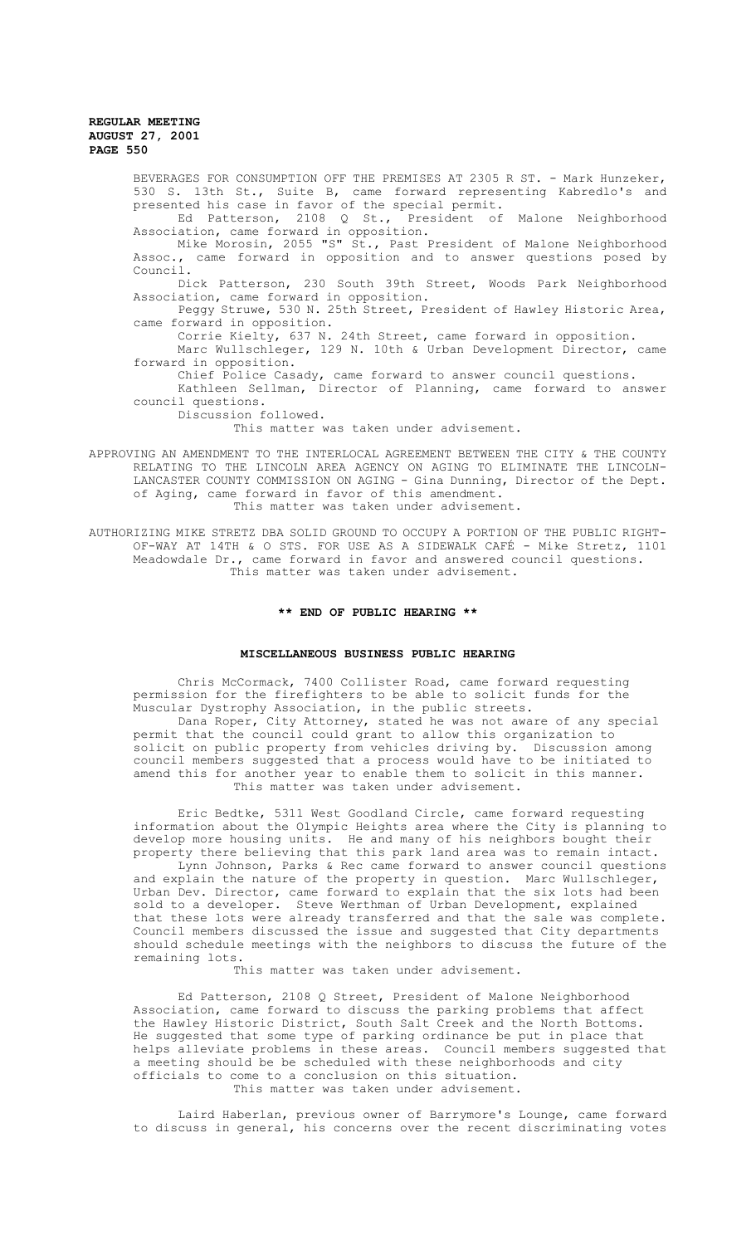BEVERAGES FOR CONSUMPTION OFF THE PREMISES AT 2305 R ST. - Mark Hunzeker, 530 S. 13th St., Suite B, came forward representing Kabredlo's and presented his case in favor of the special permit.

Ed Patterson, 2108 Q St., President of Malone Neighborhood Association, came forward in opposition.

Mike Morosin, 2055 "S" St., Past President of Malone Neighborhood Assoc., came forward in opposition and to answer questions posed by Council.

Dick Patterson, 230 South 39th Street, Woods Park Neighborhood Association, came forward in opposition.

Peggy Struwe, 530 N. 25th Street, President of Hawley Historic Area, came forward in opposition.

Corrie Kielty, 637 N. 24th Street, came forward in opposition. Marc Wullschleger, 129 N. 10th & Urban Development Director, came

forward in opposition. Chief Police Casady, came forward to answer council questions.

Kathleen Sellman, Director of Planning, came forward to answer council questions.

Discussion followed.

This matter was taken under advisement.

APPROVING AN AMENDMENT TO THE INTERLOCAL AGREEMENT BETWEEN THE CITY & THE COUNTY RELATING TO THE LINCOLN AREA AGENCY ON AGING TO ELIMINATE THE LINCOLN-LANCASTER COUNTY COMMISSION ON AGING - Gina Dunning, Director of the Dept. of Aging, came forward in favor of this amendment. This matter was taken under advisement.

AUTHORIZING MIKE STRETZ DBA SOLID GROUND TO OCCUPY A PORTION OF THE PUBLIC RIGHT-OF-WAY AT 14TH & O STS. FOR USE AS A SIDEWALK CAFÉ - Mike Stretz, 1101 Meadowdale Dr., came forward in favor and answered council questions. This matter was taken under advisement.

### **\*\* END OF PUBLIC HEARING \*\***

# **MISCELLANEOUS BUSINESS PUBLIC HEARING**

Chris McCormack, 7400 Collister Road, came forward requesting permission for the firefighters to be able to solicit funds for the Muscular Dystrophy Association, in the public streets. Dana Roper, City Attorney, stated he was not aware of any special

permit that the council could grant to allow this organization to solicit on public property from vehicles driving by. Discussion among council members suggested that a process would have to be initiated to amend this for another year to enable them to solicit in this manner. This matter was taken under advisement.

Eric Bedtke, 5311 West Goodland Circle, came forward requesting information about the Olympic Heights area where the City is planning to develop more housing units. He and many of his neighbors bought their property there believing that this park land area was to remain intact.

Lynn Johnson, Parks & Rec came forward to answer council questions and explain the nature of the property in question. Marc Wullschleger, Urban Dev. Director, came forward to explain that the six lots had been sold to a developer. Steve Werthman of Urban Development, explained that these lots were already transferred and that the sale was complete. Council members discussed the issue and suggested that City departments should schedule meetings with the neighbors to discuss the future of the remaining lots.

This matter was taken under advisement.

Ed Patterson, 2108 Q Street, President of Malone Neighborhood Association, came forward to discuss the parking problems that affect the Hawley Historic District, South Salt Creek and the North Bottoms. He suggested that some type of parking ordinance be put in place that helps alleviate problems in these areas. Council members suggested that a meeting should be be scheduled with these neighborhoods and city officials to come to a conclusion on this situation. This matter was taken under advisement.

Laird Haberlan, previous owner of Barrymore's Lounge, came forward to discuss in general, his concerns over the recent discriminating votes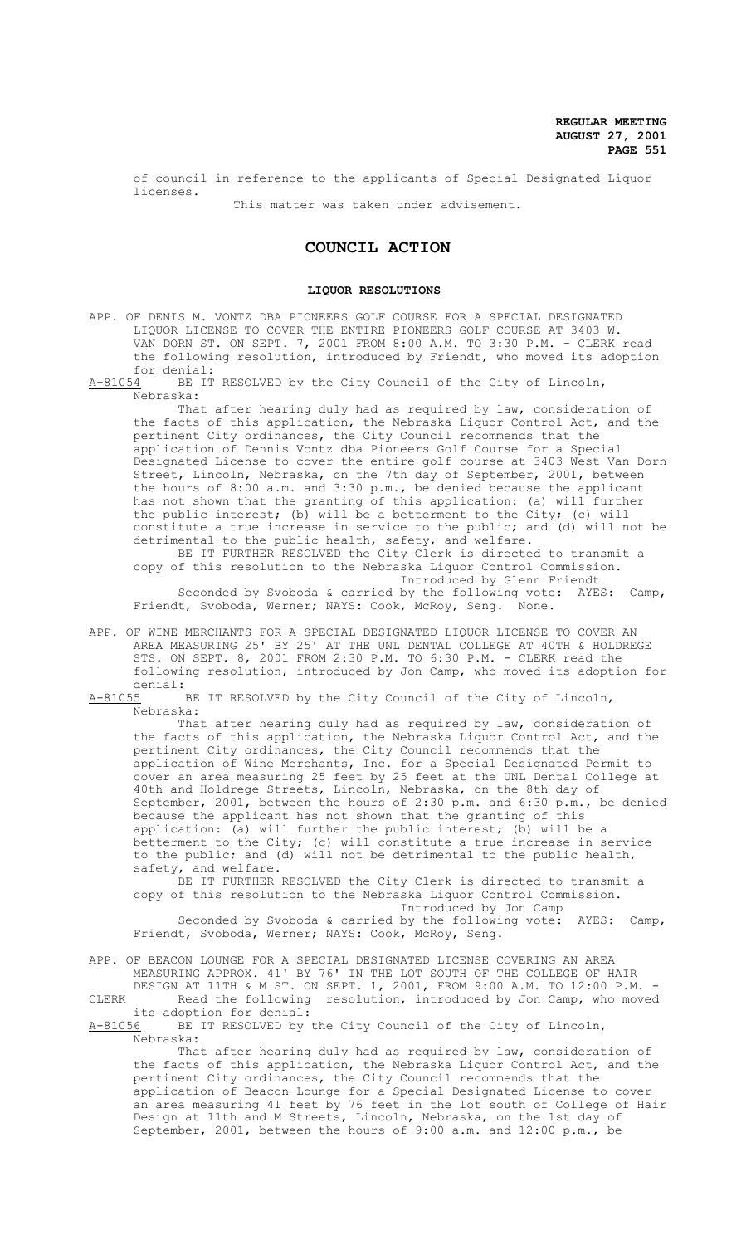of council in reference to the applicants of Special Designated Liquor licenses. This matter was taken under advisement.

# **COUNCIL ACTION**

### **LIQUOR RESOLUTIONS**

APP. OF DENIS M. VONTZ DBA PIONEERS GOLF COURSE FOR A SPECIAL DESIGNATED LIQUOR LICENSE TO COVER THE ENTIRE PIONEERS GOLF COURSE AT 3403 W. VAN DORN ST. ON SEPT. 7, 2001 FROM 8:00 A.M. TO 3:30 P.M. - CLERK read the following resolution, introduced by Friendt, who moved its adoption for denial:<br>A-81054 BE IT

BE IT RESOLVED by the City Council of the City of Lincoln, Nebraska:

That after hearing duly had as required by law, consideration of the facts of this application, the Nebraska Liquor Control Act, and the pertinent City ordinances, the City Council recommends that the application of Dennis Vontz dba Pioneers Golf Course for a Special Designated License to cover the entire golf course at 3403 West Van Dorn Street, Lincoln, Nebraska, on the 7th day of September, 2001, between the hours of 8:00 a.m. and 3:30 p.m., be denied because the applicant has not shown that the granting of this application: (a) will further the public interest; (b) will be a betterment to the City; (c) will constitute a true increase in service to the public; and (d) will not be detrimental to the public health, safety, and welfare.

BE IT FURTHER RESOLVED the City Clerk is directed to transmit a copy of this resolution to the Nebraska Liquor Control Commission. Introduced by Glenn Friendt

Seconded by Svoboda & carried by the following vote: AYES: Camp, Friendt, Svoboda, Werner; NAYS: Cook, McRoy, Seng. None.

- APP. OF WINE MERCHANTS FOR A SPECIAL DESIGNATED LIQUOR LICENSE TO COVER AN AREA MEASURING 25' BY 25' AT THE UNL DENTAL COLLEGE AT 40TH & HOLDREGE STS. ON SEPT. 8, 2001 FROM 2:30 P.M. TO 6:30 P.M. - CLERK read the following resolution, introduced by Jon Camp, who moved its adoption for
- denial:<br>A-81055 B BE IT RESOLVED by the City Council of the City of Lincoln, Nebraska:

That after hearing duly had as required by law, consideration of the facts of this application, the Nebraska Liquor Control Act, and the pertinent City ordinances, the City Council recommends that the application of Wine Merchants, Inc. for a Special Designated Permit to cover an area measuring 25 feet by 25 feet at the UNL Dental College at 40th and Holdrege Streets, Lincoln, Nebraska, on the 8th day of September, 2001, between the hours of 2:30 p.m. and 6:30 p.m., be denied because the applicant has not shown that the granting of this application: (a) will further the public interest; (b) will be a betterment to the City; (c) will constitute a true increase in service to the public; and (d) will not be detrimental to the public health, safety, and welfare.

BE IT FURTHER RESOLVED the City Clerk is directed to transmit a copy of this resolution to the Nebraska Liquor Control Commission. Introduced by Jon Camp

Seconded by Svoboda & carried by the following vote: AYES: Camp, Friendt, Svoboda, Werner; NAYS: Cook, McRoy, Seng.

APP. OF BEACON LOUNGE FOR A SPECIAL DESIGNATED LICENSE COVERING AN AREA MEASURING APPROX. 41' BY 76' IN THE LOT SOUTH OF THE COLLEGE OF HAIR DESIGN AT 11TH & M ST. ON SEPT. 1, 2001, FROM 9:00 A.M. TO 12:00 P.M. - CLERK Read the following resolution, introduced by Jon Camp, who moved

its adoption for denial:<br>A-81056 BE IT RESOLVED by A-5105 IT RESOLVED by the City Council of the City of Lincoln, Nebraska:

That after hearing duly had as required by law, consideration of the facts of this application, the Nebraska Liquor Control Act, and the pertinent City ordinances, the City Council recommends that the application of Beacon Lounge for a Special Designated License to cover an area measuring 41 feet by 76 feet in the lot south of College of Hair Design at 11th and M Streets, Lincoln, Nebraska, on the 1st day of September, 2001, between the hours of 9:00 a.m. and 12:00 p.m., be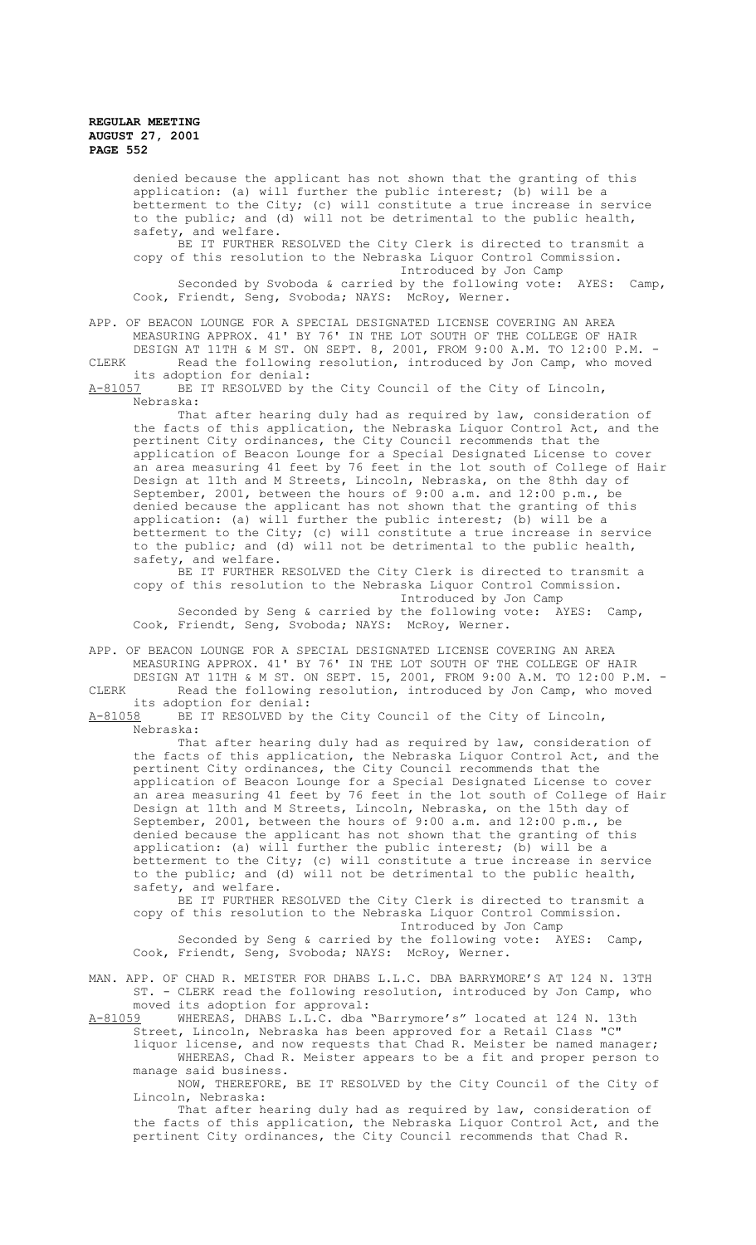denied because the applicant has not shown that the granting of this application: (a) will further the public interest; (b) will be a betterment to the City; (c) will constitute a true increase in service to the public; and (d) will not be detrimental to the public health, safety, and welfare. BE IT FURTHER RESOLVED the City Clerk is directed to transmit a

copy of this resolution to the Nebraska Liquor Control Commission. Introduced by Jon Camp Seconded by Svoboda & carried by the following vote: AYES: Camp, Cook, Friendt, Seng, Svoboda; NAYS: McRoy, Werner.

APP. OF BEACON LOUNGE FOR A SPECIAL DESIGNATED LICENSE COVERING AN AREA MEASURING APPROX. 41' BY 76' IN THE LOT SOUTH OF THE COLLEGE OF HAIR DESIGN AT 11TH & M ST. ON SEPT. 8, 2001, FROM 9:00 A.M. TO 12:00 P.M. -

CLERK Read the following resolution, introduced by Jon Camp, who moved its adoption for denial:

A-81057 BE IT RESOLVED by the City Council of the City of Lincoln, Nebraska:

That after hearing duly had as required by law, consideration of the facts of this application, the Nebraska Liquor Control Act, and the pertinent City ordinances, the City Council recommends that the application of Beacon Lounge for a Special Designated License to cover an area measuring 41 feet by 76 feet in the lot south of College of Hair Design at 11th and M Streets, Lincoln, Nebraska, on the 8thh day of September, 2001, between the hours of 9:00 a.m. and 12:00 p.m., be denied because the applicant has not shown that the granting of this application: (a) will further the public interest; (b) will be a betterment to the City; (c) will constitute a true increase in service to the public; and (d) will not be detrimental to the public health, safety, and welfare.

BE IT FURTHER RESOLVED the City Clerk is directed to transmit a copy of this resolution to the Nebraska Liquor Control Commission. Introduced by Jon Camp

Seconded by Seng & carried by the following vote: AYES: Camp, Cook, Friendt, Seng, Svoboda; NAYS: McRoy, Werner.

APP. OF BEACON LOUNGE FOR A SPECIAL DESIGNATED LICENSE COVERING AN AREA MEASURING APPROX. 41' BY 76' IN THE LOT SOUTH OF THE COLLEGE OF HAIR DESIGN AT 11TH & M ST. ON SEPT. 15, 2001, FROM 9:00 A.M. TO 12:00 P.M. -

CLERK Read the following resolution, introduced by Jon Camp, who moved its adoption for denial:

A-81058 BE IT RESOLVED by the City Council of the City of Lincoln, Nebraska:

That after hearing duly had as required by law, consideration of the facts of this application, the Nebraska Liquor Control Act, and the pertinent City ordinances, the City Council recommends that the application of Beacon Lounge for a Special Designated License to cover an area measuring 41 feet by 76 feet in the lot south of College of Hair Design at 11th and M Streets, Lincoln, Nebraska, on the 15th day of September, 2001, between the hours of 9:00 a.m. and 12:00 p.m., be denied because the applicant has not shown that the granting of this application: (a) will further the public interest; (b) will be a betterment to the City; (c) will constitute a true increase in service to the public; and (d) will not be detrimental to the public health, safety, and welfare.

BE IT FURTHER RESOLVED the City Clerk is directed to transmit a copy of this resolution to the Nebraska Liquor Control Commission. Introduced by Jon Camp

Seconded by Seng & carried by the following vote: AYES: Camp, Cook, Friendt, Seng, Svoboda; NAYS: McRoy, Werner.

MAN. APP. OF CHAD R. MEISTER FOR DHABS L.L.C. DBA BARRYMORE'S AT 124 N. 13TH ST. - CLERK read the following resolution, introduced by Jon Camp, who moved its adoption for approval:

A-81059 WHEREAS, DHABS L.L.C. dba "Barrymore's" located at 124 N. 13th Street, Lincoln, Nebraska has been approved for a Retail Class "C" liquor license, and now requests that Chad R. Meister be named manager;

WHEREAS, Chad R. Meister appears to be a fit and proper person to manage said business. NOW, THEREFORE, BE IT RESOLVED by the City Council of the City of

Lincoln, Nebraska:

That after hearing duly had as required by law, consideration of the facts of this application, the Nebraska Liquor Control Act, and the pertinent City ordinances, the City Council recommends that Chad R.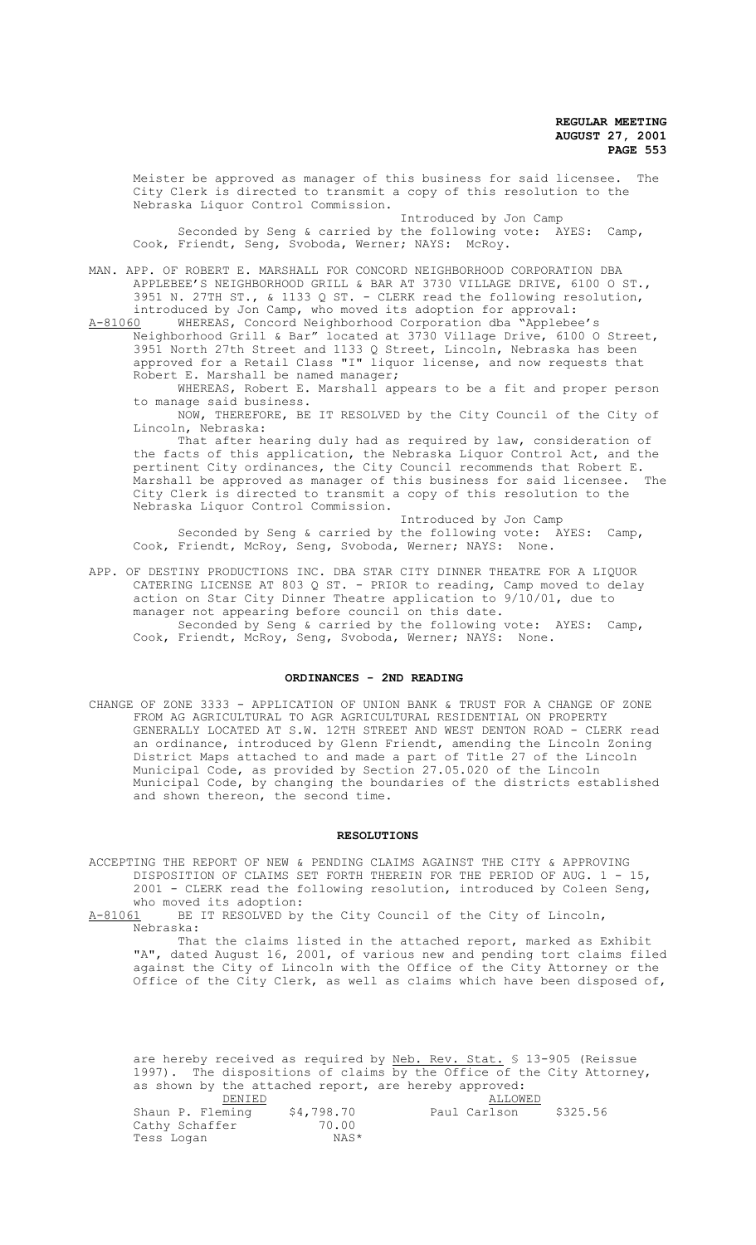Meister be approved as manager of this business for said licensee. City Clerk is directed to transmit a copy of this resolution to the Nebraska Liquor Control Commission.

Introduced by Jon Camp Seconded by Seng & carried by the following vote: AYES: Camp, Cook, Friendt, Seng, Svoboda, Werner; NAYS: McRoy.

MAN. APP. OF ROBERT E. MARSHALL FOR CONCORD NEIGHBORHOOD CORPORATION DBA APPLEBEE'S NEIGHBORHOOD GRILL & BAR AT 3730 VILLAGE DRIVE, 6100 O ST., 3951 N. 27TH ST., & 1133 Q ST. - CLERK read the following resolution, introduced by Jon Camp, who moved its adoption for approval:<br>A-81060 WHEREAS, Concord Neighborhood Corporation dba "Applebe

WHEREAS, Concord Neighborhood Corporation dba "Applebee's Neighborhood Grill & Bar" located at 3730 Village Drive, 6100 O Street, 3951 North 27th Street and 1133 Q Street, Lincoln, Nebraska has been approved for a Retail Class "I" liquor license, and now requests that Robert E. Marshall be named manager;

WHEREAS, Robert E. Marshall appears to be a fit and proper person to manage said business.

NOW, THEREFORE, BE IT RESOLVED by the City Council of the City of Lincoln, Nebraska:

That after hearing duly had as required by law, consideration of the facts of this application, the Nebraska Liquor Control Act, and the pertinent City ordinances, the City Council recommends that Robert E. Marshall be approved as manager of this business for said licensee. The City Clerk is directed to transmit a copy of this resolution to the Nebraska Liquor Control Commission.

Introduced by Jon Camp Seconded by Seng & carried by the following vote: AYES: Camp, Cook, Friendt, McRoy, Seng, Svoboda, Werner; NAYS: None.

APP. OF DESTINY PRODUCTIONS INC. DBA STAR CITY DINNER THEATRE FOR A LIQUOR CATERING LICENSE AT 803 Q ST. - PRIOR to reading, Camp moved to delay action on Star City Dinner Theatre application to 9/10/01, due to manager not appearing before council on this date. Seconded by Seng & carried by the following vote: AYES: Camp, Cook, Friendt, McRoy, Seng, Svoboda, Werner; NAYS: None.

# **ORDINANCES - 2ND READING**

CHANGE OF ZONE 3333 - APPLICATION OF UNION BANK & TRUST FOR A CHANGE OF ZONE FROM AG AGRICULTURAL TO AGR AGRICULTURAL RESIDENTIAL ON PROPERTY GENERALLY LOCATED AT S.W. 12TH STREET AND WEST DENTON ROAD - CLERK read an ordinance, introduced by Glenn Friendt, amending the Lincoln Zoning District Maps attached to and made a part of Title 27 of the Lincoln Municipal Code, as provided by Section 27.05.020 of the Lincoln Municipal Code, by changing the boundaries of the districts established and shown thereon, the second time.

#### **RESOLUTIONS**

ACCEPTING THE REPORT OF NEW & PENDING CLAIMS AGAINST THE CITY & APPROVING DISPOSITION OF CLAIMS SET FORTH THEREIN FOR THE PERIOD OF AUG. 1 - 15, 2001 - CLERK read the following resolution, introduced by Coleen Seng, who moved its adoption:<br>A-81061 BE IT RESOLVED by

BE IT RESOLVED by the City Council of the City of Lincoln, Nebraska:

That the claims listed in the attached report, marked as Exhibit "A", dated August 16, 2001, of various new and pending tort claims filed against the City of Lincoln with the Office of the City Attorney or the Office of the City Clerk, as well as claims which have been disposed of,

are hereby received as required by Neb. Rev. Stat. § 13-905 (Reissue 1997). The dispositions of claims by the Office of the City Attorney, as shown by the attached report, are hereby approved:

| DENIED           |            | ALLOWED |              |          |
|------------------|------------|---------|--------------|----------|
| Shaun P. Fleming | \$4,798.70 |         | Paul Carlson | \$325.56 |
| Cathy Schaffer   | 70.00      |         |              |          |
| Tess Logan       | NAS*       |         |              |          |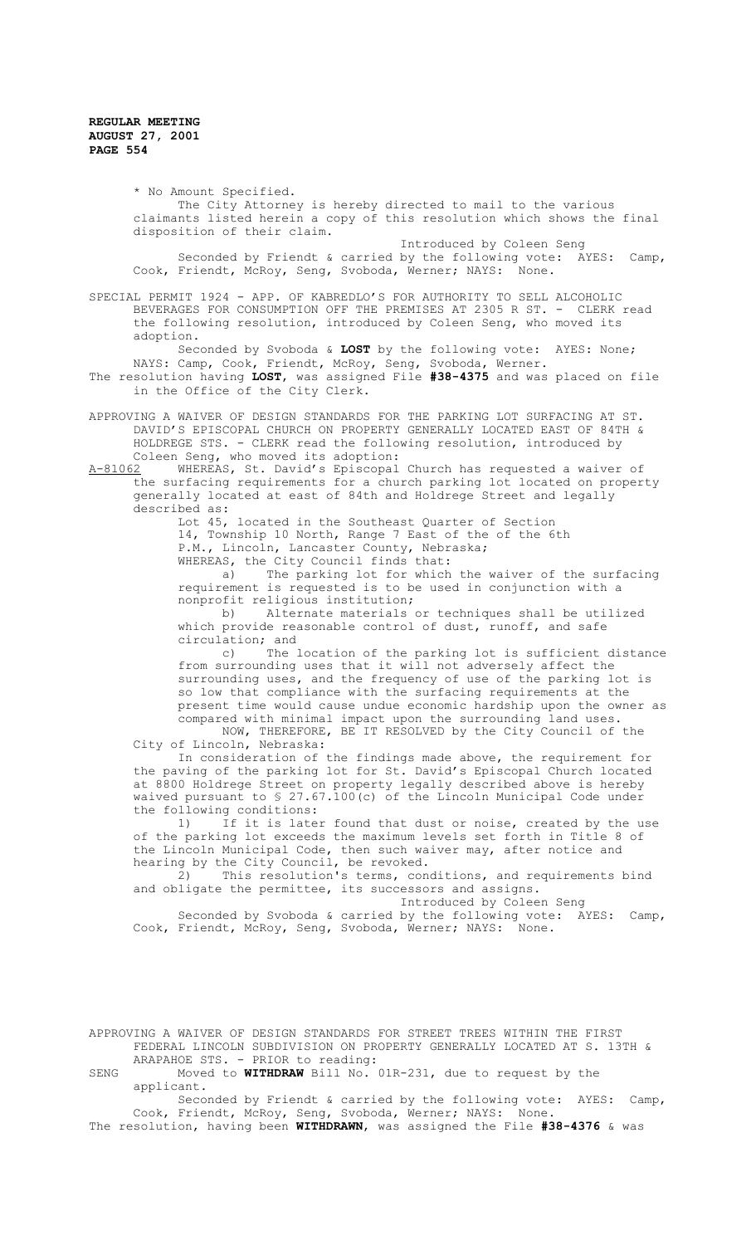> \* No Amount Specified. The City Attorney is hereby directed to mail to the various claimants listed herein a copy of this resolution which shows the final disposition of their claim.

> Introduced by Coleen Seng Seconded by Friendt & carried by the following vote: AYES: Camp, Cook, Friendt, McRoy, Seng, Svoboda, Werner; NAYS: None.

SPECIAL PERMIT 1924 - APP. OF KABREDLO'S FOR AUTHORITY TO SELL ALCOHOLIC BEVERAGES FOR CONSUMPTION OFF THE PREMISES AT 2305 R ST. - CLERK read the following resolution, introduced by Coleen Seng, who moved its adoption.

Seconded by Svoboda & **LOST** by the following vote: AYES: None; NAYS: Camp, Cook, Friendt, McRoy, Seng, Svoboda, Werner.

The resolution having **LOST**, was assigned File **#38-4375** and was placed on file in the Office of the City Clerk.

APPROVING A WAIVER OF DESIGN STANDARDS FOR THE PARKING LOT SURFACING AT ST. DAVID'S EPISCOPAL CHURCH ON PROPERTY GENERALLY LOCATED EAST OF 84TH & HOLDREGE STS. - CLERK read the following resolution, introduced by Coleen Seng, who moved its adoption:

A-81062 WHEREAS, St. David's Episcopal Church has requested a waiver of the surfacing requirements for a church parking lot located on property generally located at east of 84th and Holdrege Street and legally described as:

Lot 45, located in the Southeast Quarter of Section 14, Township 10 North, Range 7 East of the of the 6th P.M., Lincoln, Lancaster County, Nebraska; WHEREAS, the City Council finds that:

a) The parking lot for which the waiver of the surfacing requirement is requested is to be used in conjunction with a nonprofit religious institution;

b) Alternate materials or techniques shall be utilized which provide reasonable control of dust, runoff, and safe circulation; and

c) The location of the parking lot is sufficient distance from surrounding uses that it will not adversely affect the surrounding uses, and the frequency of use of the parking lot is so low that compliance with the surfacing requirements at the present time would cause undue economic hardship upon the owner as compared with minimal impact upon the surrounding land uses.

NOW, THEREFORE, BE IT RESOLVED by the City Council of the City of Lincoln, Nebraska:

In consideration of the findings made above, the requirement for the paving of the parking lot for St. David's Episcopal Church located at 8800 Holdrege Street on property legally described above is hereby waived pursuant to § 27.67.100(c) of the Lincoln Municipal Code under the following conditions:

1) If it is later found that dust or noise, created by the use of the parking lot exceeds the maximum levels set forth in Title 8 of the Lincoln Municipal Code, then such waiver may, after notice and hearing by the City Council, be revoked.

2) This resolution's terms, conditions, and requirements bind and obligate the permittee, its successors and assigns. Introduced by Coleen Seng

Seconded by Svoboda & carried by the following vote: AYES: Camp, Cook, Friendt, McRoy, Seng, Svoboda, Werner; NAYS: None.

APPROVING A WAIVER OF DESIGN STANDARDS FOR STREET TREES WITHIN THE FIRST FEDERAL LINCOLN SUBDIVISION ON PROPERTY GENERALLY LOCATED AT S. 13TH & ARAPAHOE STS. - PRIOR to reading:

SENG Moved to **WITHDRAW** Bill No. 01R-231, due to request by the applicant.

Seconded by Friendt & carried by the following vote: AYES: Camp, Cook, Friendt, McRoy, Seng, Svoboda, Werner; NAYS: None. The resolution, having been **WITHDRAWN**, was assigned the File **#38-4376** & was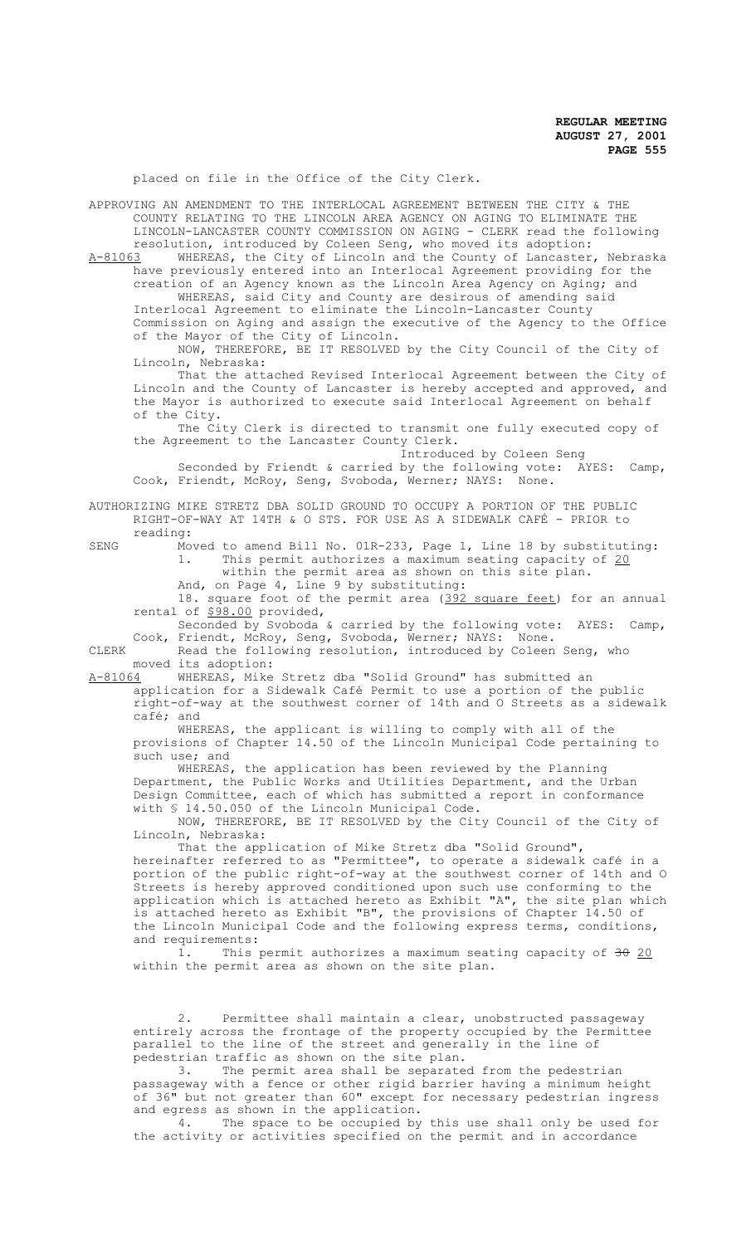placed on file in the Office of the City Clerk.

APPROVING AN AMENDMENT TO THE INTERLOCAL AGREEMENT BETWEEN THE CITY & THE COUNTY RELATING TO THE LINCOLN AREA AGENCY ON AGING TO ELIMINATE THE LINCOLN-LANCASTER COUNTY COMMISSION ON AGING - CLERK read the following resolution, introduced by Coleen Seng, who moved its adoption:<br>A-81063 WHEREAS, the City of Lincoln and the County of Lancaster, A-81063 MHEREAS, the City of Lincoln and the County of Lancaster, Nebraska have previously entered into an Interlocal Agreement providing for the creation of an Agency known as the Lincoln Area Agency on Aging; and WHEREAS, said City and County are desirous of amending said Interlocal Agreement to eliminate the Lincoln-Lancaster County Commission on Aging and assign the executive of the Agency to the Office of the Mayor of the City of Lincoln. NOW, THEREFORE, BE IT RESOLVED by the City Council of the City of Lincoln, Nebraska: That the attached Revised Interlocal Agreement between the City of Lincoln and the County of Lancaster is hereby accepted and approved, and the Mayor is authorized to execute said Interlocal Agreement on behalf of the City. The City Clerk is directed to transmit one fully executed copy of the Agreement to the Lancaster County Clerk. Introduced by Coleen Seng Seconded by Friendt & carried by the following vote: AYES: Camp, Cook, Friendt, McRoy, Seng, Svoboda, Werner; NAYS: None. AUTHORIZING MIKE STRETZ DBA SOLID GROUND TO OCCUPY A PORTION OF THE PUBLIC RIGHT-OF-WAY AT 14TH & O STS. FOR USE AS A SIDEWALK CAFÉ - PRIOR to reading: SENG Moved to amend Bill No. 01R-233, Page 1, Line 18 by substituting: 1. This permit authorizes a maximum seating capacity of 20 within the permit area as shown on this site plan. And, on Page 4, Line 9 by substituting: 18. square foot of the permit area (392 square feet) for an annual rental of \$98.00 provided, Seconded by Svoboda & carried by the following vote: AYES: Camp, Cook, Friendt, McRoy, Seng, Svoboda, Werner; NAYS: None. CLERK Read the following resolution, introduced by Coleen Seng, who moved its adoption:<br>A-81064 WHEREAS, Mike WHEREAS, Mike Stretz dba "Solid Ground" has submitted an application for a Sidewalk Café Permit to use a portion of the public right-of-way at the southwest corner of 14th and O Streets as a sidewalk café; and WHEREAS, the applicant is willing to comply with all of the provisions of Chapter 14.50 of the Lincoln Municipal Code pertaining to such use; and WHEREAS, the application has been reviewed by the Planning Department, the Public Works and Utilities Department, and the Urban Design Committee, each of which has submitted a report in conformance with § 14.50.050 of the Lincoln Municipal Code. NOW, THEREFORE, BE IT RESOLVED by the City Council of the City of Lincoln, Nebraska: That the application of Mike Stretz dba "Solid Ground", hereinafter referred to as "Permittee", to operate a sidewalk café in a portion of the public right-of-way at the southwest corner of 14th and O Streets is hereby approved conditioned upon such use conforming to the application which is attached hereto as Exhibit "A", the site plan which is attached hereto as Exhibit "B", the provisions of Chapter 14.50 of the Lincoln Municipal Code and the following express terms, conditions, and requirements: 1. This permit authorizes a maximum seating capacity of 30 20 within the permit area as shown on the site plan. 2. Permittee shall maintain a clear, unobstructed passageway entirely across the frontage of the property occupied by the Permittee

parallel to the line of the street and generally in the line of pedestrian traffic as shown on the site plan.<br>3. The permit area shall be separate

The permit area shall be separated from the pedestrian passageway with a fence or other rigid barrier having a minimum height of 36" but not greater than 60" except for necessary pedestrian ingress and egress as shown in the application.<br>4 The space to be occupied by

The space to be occupied by this use shall only be used for the activity or activities specified on the permit and in accordance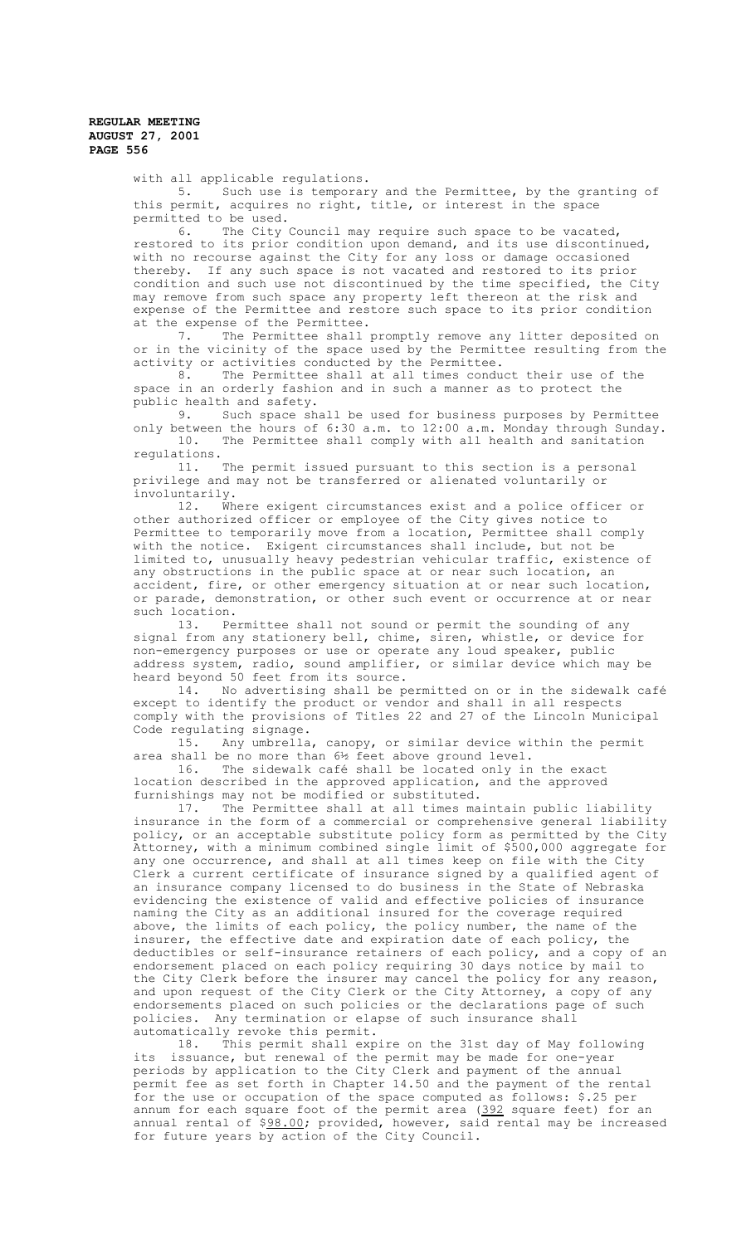with all applicable regulations.<br>5. Such use is temporar

Such use is temporary and the Permittee, by the granting of this permit, acquires no right, title, or interest in the space permitted to be used.

6. The City Council may require such space to be vacated, restored to its prior condition upon demand, and its use discontinued, with no recourse against the City for any loss or damage occasioned thereby. If any such space is not vacated and restored to its prior condition and such use not discontinued by the time specified, the City may remove from such space any property left thereon at the risk and expense of the Permittee and restore such space to its prior condition at the expense of the Permittee.<br>7. The Permittee shall

The Permittee shall promptly remove any litter deposited on or in the vicinity of the space used by the Permittee resulting from the activity or activities conducted by the Permittee.

8. The Permittee shall at all times conduct their use of the space in an orderly fashion and in such a manner as to protect the public health and safety.<br>9. Such space sh

Such space shall be used for business purposes by Permittee only between the hours of 6:30 a.m. to 12:00 a.m. Monday through Sunday. 10. The Permittee shall comply with all health and sanitation regulations.

11. The permit issued pursuant to this section is a personal privilege and may not be transferred or alienated voluntarily or involuntarily.

12. Where exigent circumstances exist and a police officer or other authorized officer or employee of the City gives notice to Permittee to temporarily move from a location, Permittee shall comply with the notice. Exigent circumstances shall include, but not be limited to, unusually heavy pedestrian vehicular traffic, existence of any obstructions in the public space at or near such location, an accident, fire, or other emergency situation at or near such location, or parade, demonstration, or other such event or occurrence at or near such location.

13. Permittee shall not sound or permit the sounding of any signal from any stationery bell, chime, siren, whistle, or device for non-emergency purposes or use or operate any loud speaker, public address system, radio, sound amplifier, or similar device which may be heard beyond 50 feet from its source.

14. No advertising shall be permitted on or in the sidewalk café except to identify the product or vendor and shall in all respects comply with the provisions of Titles 22 and 27 of the Lincoln Municipal Code regulating signage.

15. Any umbrella, canopy, or similar device within the permit area shall be no more than 6½ feet above ground level.

16. The sidewalk café shall be located only in the exact location described in the approved application, and the approved

furnishings may not be modified or substituted.<br>17. The Permittee shall at all times ma The Permittee shall at all times maintain public liability insurance in the form of a commercial or comprehensive general liability policy, or an acceptable substitute policy form as permitted by the City Attorney, with a minimum combined single limit of \$500,000 aggregate for any one occurrence, and shall at all times keep on file with the City Clerk a current certificate of insurance signed by a qualified agent of an insurance company licensed to do business in the State of Nebraska evidencing the existence of valid and effective policies of insurance naming the City as an additional insured for the coverage required above, the limits of each policy, the policy number, the name of the insurer, the effective date and expiration date of each policy, the deductibles or self-insurance retainers of each policy, and a copy of an endorsement placed on each policy requiring 30 days notice by mail to the City Clerk before the insurer may cancel the policy for any reason, and upon request of the City Clerk or the City Attorney, a copy of any endorsements placed on such policies or the declarations page of such policies. Any termination or elapse of such insurance shall automatically revoke this permit.

18. This permit shall expire on the 31st day of May following its issuance, but renewal of the permit may be made for one-year periods by application to the City Clerk and payment of the annual permit fee as set forth in Chapter 14.50 and the payment of the rental for the use or occupation of the space computed as follows: \$.25 per annum for each square foot of the permit area (392 square feet) for an annual rental of  $$98.00$ ; provided, however, said rental may be increased for future years by action of the City Council.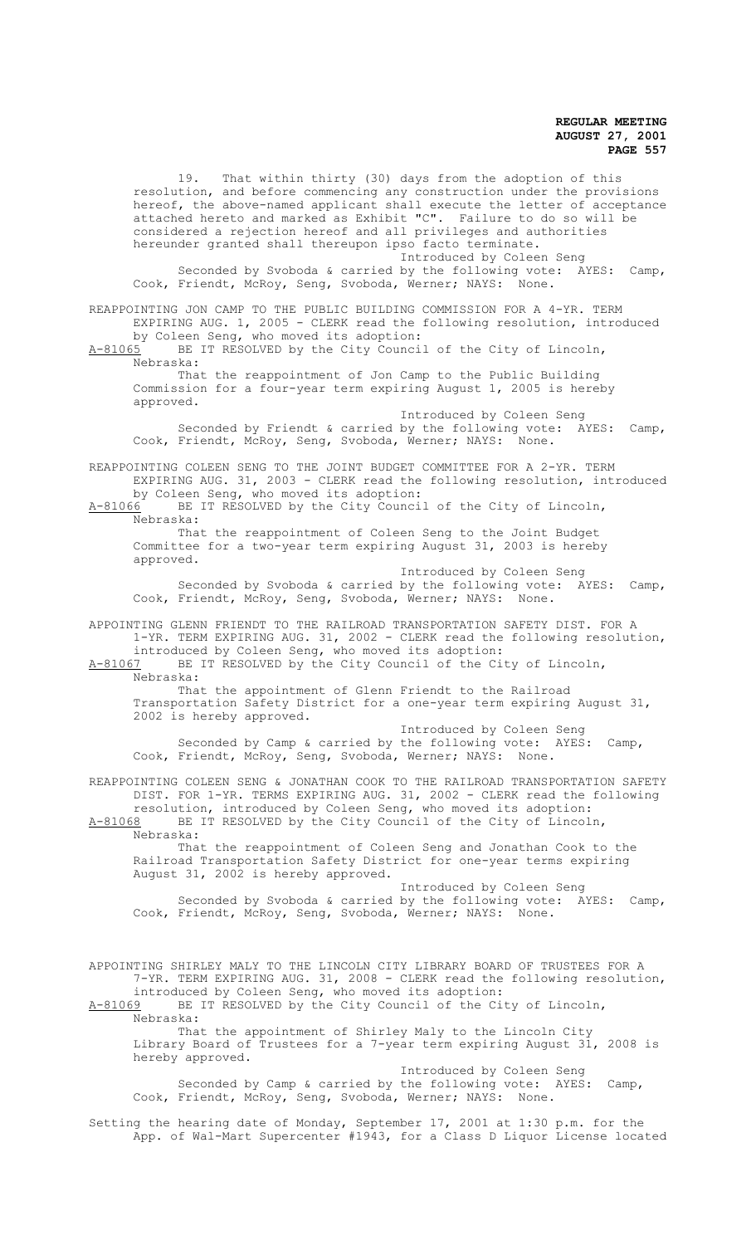19. That within thirty (30) days from the adoption of this resolution, and before commencing any construction under the provisions hereof, the above-named applicant shall execute the letter of acceptance attached hereto and marked as Exhibit "C". Failure to do so will be considered a rejection hereof and all privileges and authorities hereunder granted shall thereupon ipso facto terminate. Introduced by Coleen Seng Seconded by Svoboda & carried by the following vote: AYES: Camp, Cook, Friendt, McRoy, Seng, Svoboda, Werner; NAYS: None. REAPPOINTING JON CAMP TO THE PUBLIC BUILDING COMMISSION FOR A 4-YR. TERM EXPIRING AUG. 1, 2005 - CLERK read the following resolution, introduced by Coleen Seng, who moved its adoption: A-81065 BE IT RESOLVED by the City Council of the City of Lincoln, Nebraska: That the reappointment of Jon Camp to the Public Building Commission for a four-year term expiring August 1, 2005 is hereby approved. Introduced by Coleen Seng Seconded by Friendt & carried by the following vote: AYES: Camp, Cook, Friendt, McRoy, Seng, Svoboda, Werner; NAYS: None. REAPPOINTING COLEEN SENG TO THE JOINT BUDGET COMMITTEE FOR A 2-YR. TERM EXPIRING AUG. 31, 2003 - CLERK read the following resolution, introduced by Coleen Seng, who moved its adoption:<br>A-81066 BE IT RESOLVED by the City Counci BE IT RESOLVED by the City Council of the City of Lincoln, Nebraska: That the reappointment of Coleen Seng to the Joint Budget Committee for a two-year term expiring August 31, 2003 is hereby approved. Introduced by Coleen Seng Seconded by Svoboda & carried by the following vote: AYES: Camp,<br>Friendt, McRoy, Seng, Svoboda, Werner; NAYS: None. Cook, Friendt, McRoy, Seng, Svoboda, Werner; NAYS: APPOINTING GLENN FRIENDT TO THE RAILROAD TRANSPORTATION SAFETY DIST. FOR A 1-YR. TERM EXPIRING AUG. 31, 2002 - CLERK read the following resolution, introduced by Coleen Seng, who moved its adoption:<br>A-81067 BE IT RESOLVED by the City Council of the Ci BE IT RESOLVED by the City Council of the City of Lincoln, Nebraska: That the appointment of Glenn Friendt to the Railroad Transportation Safety District for a one-year term expiring August 31, 2002 is hereby approved. Introduced by Coleen Seng Seconded by Camp & carried by the following vote: AYES: Camp, Cook, Friendt, McRoy, Seng, Svoboda, Werner; NAYS: None. REAPPOINTING COLEEN SENG & JONATHAN COOK TO THE RAILROAD TRANSPORTATION SAFETY DIST. FOR 1-YR. TERMS EXPIRING AUG. 31, 2002 - CLERK read the following resolution, introduced by Coleen Seng, who moved its adoption:<br>A-81068 BE IT RESOLVED by the City Council of the City of Lincol BE IT RESOLVED by the City Council of the City of Lincoln, Nebraska: That the reappointment of Coleen Seng and Jonathan Cook to the Railroad Transportation Safety District for one-year terms expiring August 31, 2002 is hereby approved. Introduced by Coleen Seng Seconded by Svoboda & carried by the following vote: AYES: Camp, Cook, Friendt, McRoy, Seng, Svoboda, Werner; NAYS: None. APPOINTING SHIRLEY MALY TO THE LINCOLN CITY LIBRARY BOARD OF TRUSTEES FOR A 7-YR. TERM EXPIRING AUG. 31, 2008 - CLERK read the following resolution, introduced by Coleen Seng, who moved its adoption:<br>A-81069 BE IT RESOLVED by the City Council of the Ci BE IT RESOLVED by the City Council of the City of Lincoln, Nebraska: That the appointment of Shirley Maly to the Lincoln City Library Board of Trustees for a 7-year term expiring August 31, 2008 is hereby approved. Introduced by Coleen Seng Seconded by Camp & carried by the following vote: AYES: Camp, Cook, Friendt, McRoy, Seng, Svoboda, Werner; NAYS: None.

Setting the hearing date of Monday, September 17, 2001 at 1:30 p.m. for the App. of Wal-Mart Supercenter #1943, for a Class D Liquor License located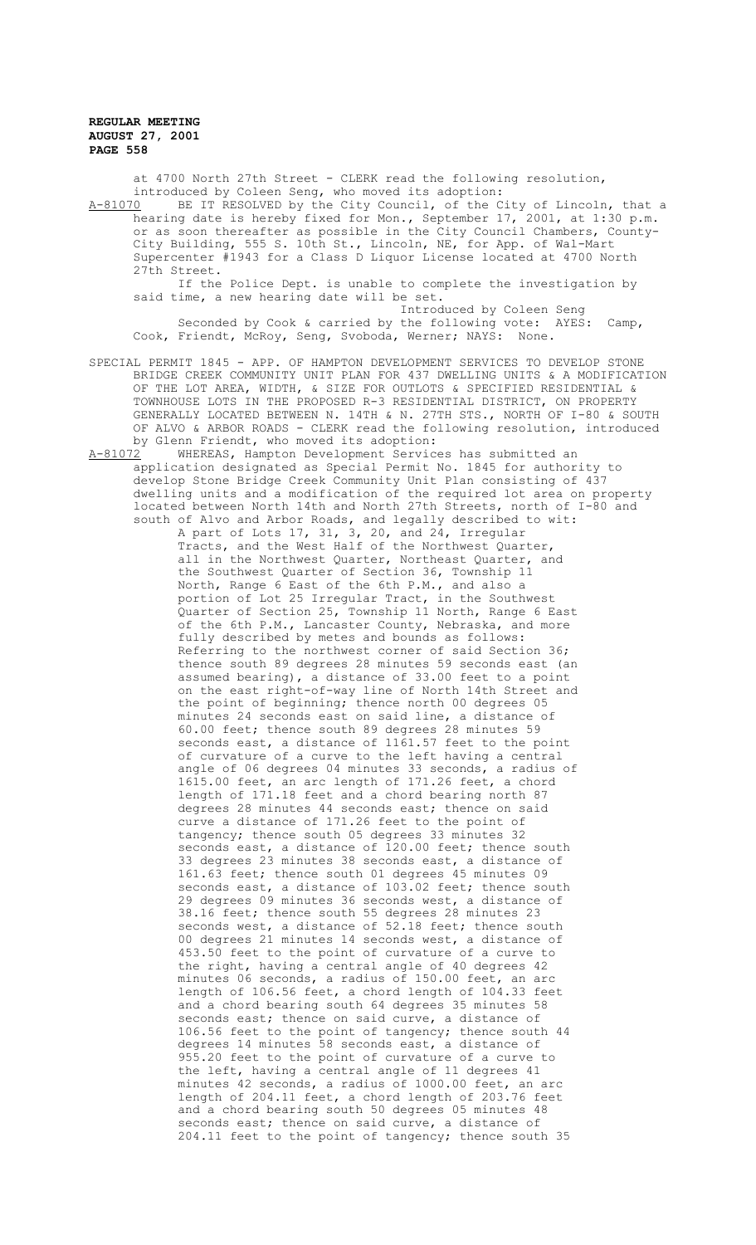at 4700 North 27th Street - CLERK read the following resolution, introduced by Coleen Seng, who moved its adoption:<br>A-81070 BE IT RESOLVED by the City Council, of the C BE IT RESOLVED by the City Council, of the City of Lincoln, that a hearing date is hereby fixed for Mon., September 17, 2001, at 1:30 p.m. or as soon thereafter as possible in the City Council Chambers, County-City Building, 555 S. 10th St., Lincoln, NE, for App. of Wal-Mart Supercenter #1943 for a Class D Liquor License located at 4700 North 27th Street. If the Police Dept. is unable to complete the investigation by said time, a new hearing date will be set. Introduced by Coleen Seng Seconded by Cook & carried by the following vote: AYES: Camp, Cook, Friendt, McRoy, Seng, Svoboda, Werner; NAYS: None. SPECIAL PERMIT 1845 - APP. OF HAMPTON DEVELOPMENT SERVICES TO DEVELOP STONE BRIDGE CREEK COMMUNITY UNIT PLAN FOR 437 DWELLING UNITS & A MODIFICATION OF THE LOT AREA, WIDTH, & SIZE FOR OUTLOTS & SPECIFIED RESIDENTIAL & TOWNHOUSE LOTS IN THE PROPOSED R-3 RESIDENTIAL DISTRICT, ON PROPERTY GENERALLY LOCATED BETWEEN N. 14TH & N. 27TH STS., NORTH OF I-80 & SOUTH OF ALVO & ARBOR ROADS - CLERK read the following resolution, introduced by Glenn Friendt, who moved its adoption:<br>A-81072 WHEREAS, Hampton Development Servic WHEREAS, Hampton Development Services has submitted an application designated as Special Permit No. 1845 for authority to develop Stone Bridge Creek Community Unit Plan consisting of 437 dwelling units and a modification of the required lot area on property located between North 14th and North 27th Streets, north of I-80 and south of Alvo and Arbor Roads, and legally described to wit: A part of Lots 17, 31, 3, 20, and 24, Irregular Tracts, and the West Half of the Northwest Quarter, all in the Northwest Quarter, Northeast Quarter, and the Southwest Quarter of Section 36, Township 11 North, Range 6 East of the 6th P.M., and also a portion of Lot 25 Irregular Tract, in the Southwest Quarter of Section 25, Township 11 North, Range 6 East of the 6th P.M., Lancaster County, Nebraska, and more fully described by metes and bounds as follows: Referring to the northwest corner of said Section 36; thence south 89 degrees 28 minutes 59 seconds east (an assumed bearing), a distance of 33.00 feet to a point on the east right-of-way line of North 14th Street and the point of beginning; thence north 00 degrees 05 minutes 24 seconds east on said line, a distance of 60.00 feet; thence south 89 degrees 28 minutes 59 seconds east, a distance of 1161.57 feet to the point of curvature of a curve to the left having a central angle of 06 degrees 04 minutes 33 seconds, a radius of 1615.00 feet, an arc length of 171.26 feet, a chord length of 171.18 feet and a chord bearing north 87 degrees 28 minutes 44 seconds east; thence on said curve a distance of 171.26 feet to the point of tangency; thence south 05 degrees 33 minutes 32 seconds east, a distance of 120.00 feet; thence south 33 degrees 23 minutes 38 seconds east, a distance of 161.63 feet; thence south 01 degrees 45 minutes 09 seconds east, a distance of 103.02 feet; thence south 29 degrees 09 minutes 36 seconds west, a distance of 38.16 feet; thence south 55 degrees 28 minutes 23 seconds west, a distance of 52.18 feet; thence south 00 degrees 21 minutes 14 seconds west, a distance of 453.50 feet to the point of curvature of a curve to the right, having a central angle of 40 degrees 42 minutes 06 seconds, a radius of 150.00 feet, an arc length of 106.56 feet, a chord length of 104.33 feet and a chord bearing south 64 degrees 35 minutes 58 seconds east; thence on said curve, a distance of 106.56 feet to the point of tangency; thence south 44 degrees 14 minutes 58 seconds east, a distance of 955.20 feet to the point of curvature of a curve to the left, having a central angle of 11 degrees 41

minutes 42 seconds, a radius of 1000.00 feet, an arc length of 204.11 feet, a chord length of 203.76 feet and a chord bearing south 50 degrees 05 minutes 48 seconds east; thence on said curve, a distance of 204.11 feet to the point of tangency; thence south 35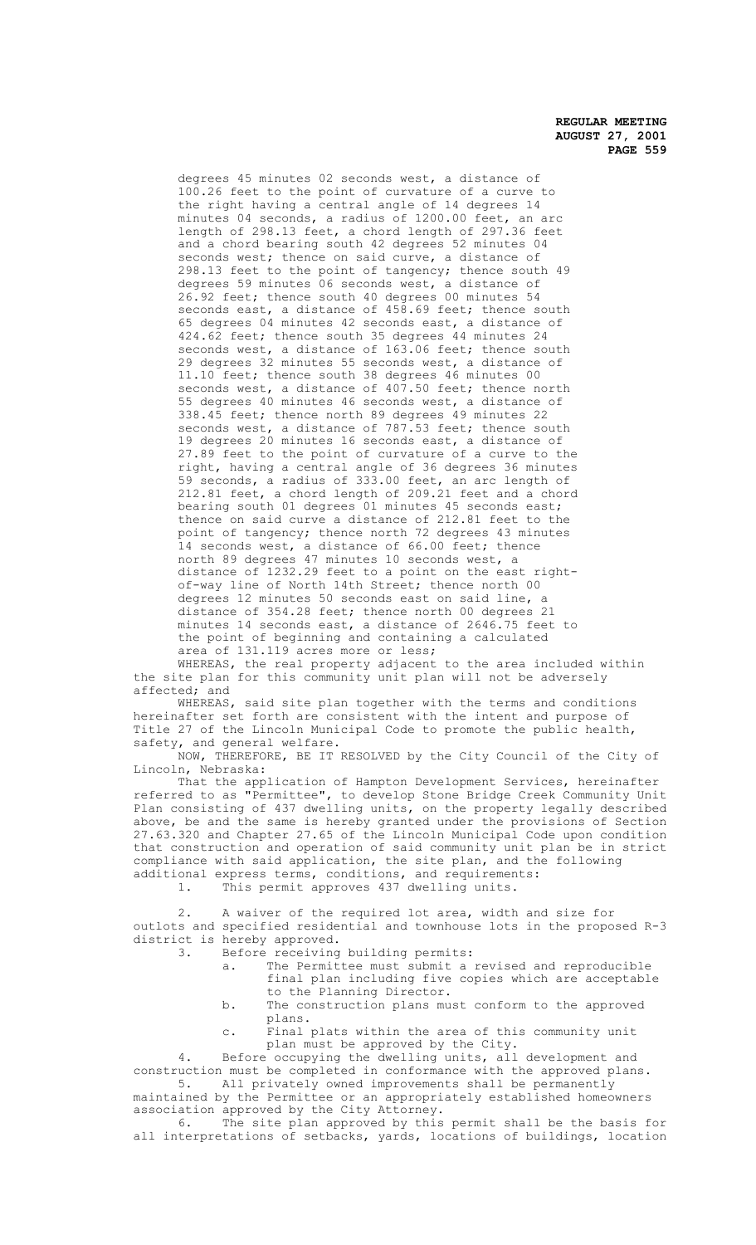degrees 45 minutes 02 seconds west, a distance of 100.26 feet to the point of curvature of a curve to the right having a central angle of 14 degrees 14 minutes 04 seconds, a radius of 1200.00 feet, an arc length of 298.13 feet, a chord length of 297.36 feet and a chord bearing south 42 degrees 52 minutes 04 seconds west; thence on said curve, a distance of 298.13 feet to the point of tangency; thence south 49 degrees 59 minutes 06 seconds west, a distance of 26.92 feet; thence south 40 degrees 00 minutes 54 seconds east, a distance of 458.69 feet; thence south 65 degrees 04 minutes 42 seconds east, a distance of 424.62 feet; thence south 35 degrees 44 minutes 24 seconds west, a distance of 163.06 feet; thence south 29 degrees 32 minutes 55 seconds west, a distance of 11.10 feet; thence south 38 degrees 46 minutes 00 seconds west, a distance of 407.50 feet; thence north 55 degrees 40 minutes 46 seconds west, a distance of 338.45 feet; thence north 89 degrees 49 minutes 22 seconds west, a distance of 787.53 feet; thence south 19 degrees 20 minutes 16 seconds east, a distance of 27.89 feet to the point of curvature of a curve to the right, having a central angle of 36 degrees 36 minutes 59 seconds, a radius of 333.00 feet, an arc length of 212.81 feet, a chord length of 209.21 feet and a chord bearing south 01 degrees 01 minutes 45 seconds east; thence on said curve a distance of 212.81 feet to the point of tangency; thence north 72 degrees 43 minutes 14 seconds west, a distance of 66.00 feet; thence north 89 degrees 47 minutes 10 seconds west, a distance of 1232.29 feet to a point on the east rightof-way line of North 14th Street; thence north 00 degrees 12 minutes 50 seconds east on said line, a distance of 354.28 feet; thence north 00 degrees 21 minutes 14 seconds east, a distance of 2646.75 feet to the point of beginning and containing a calculated area of 131.119 acres more or less;

WHEREAS, the real property adjacent to the area included within the site plan for this community unit plan will not be adversely affected; and

WHEREAS, said site plan together with the terms and conditions hereinafter set forth are consistent with the intent and purpose of Title 27 of the Lincoln Municipal Code to promote the public health, safety, and general welfare.

NOW, THEREFORE, BE IT RESOLVED by the City Council of the City of Lincoln, Nebraska:

That the application of Hampton Development Services, hereinafter referred to as "Permittee", to develop Stone Bridge Creek Community Unit Plan consisting of 437 dwelling units, on the property legally described above, be and the same is hereby granted under the provisions of Section 27.63.320 and Chapter 27.65 of the Lincoln Municipal Code upon condition that construction and operation of said community unit plan be in strict compliance with said application, the site plan, and the following additional express terms, conditions, and requirements:

1. This permit approves 437 dwelling units.

2. A waiver of the required lot area, width and size for outlots and specified residential and townhouse lots in the proposed R-3 district is hereby approved.

3. Before receiving building permits:

- a. The Permittee must submit a revised and reproducible final plan including five copies which are acceptable to the Planning Director.
- b. The construction plans must conform to the approved plans.
- c. Final plats within the area of this community unit plan must be approved by the City.

4. Before occupying the dwelling units, all development and construction must be completed in conformance with the approved plans.<br>5. All privately owned improvements shall be permanently All privately owned improvements shall be permanently

maintained by the Permittee or an appropriately established homeowners association approved by the City Attorney.

6. The site plan approved by this permit shall be the basis for all interpretations of setbacks, yards, locations of buildings, location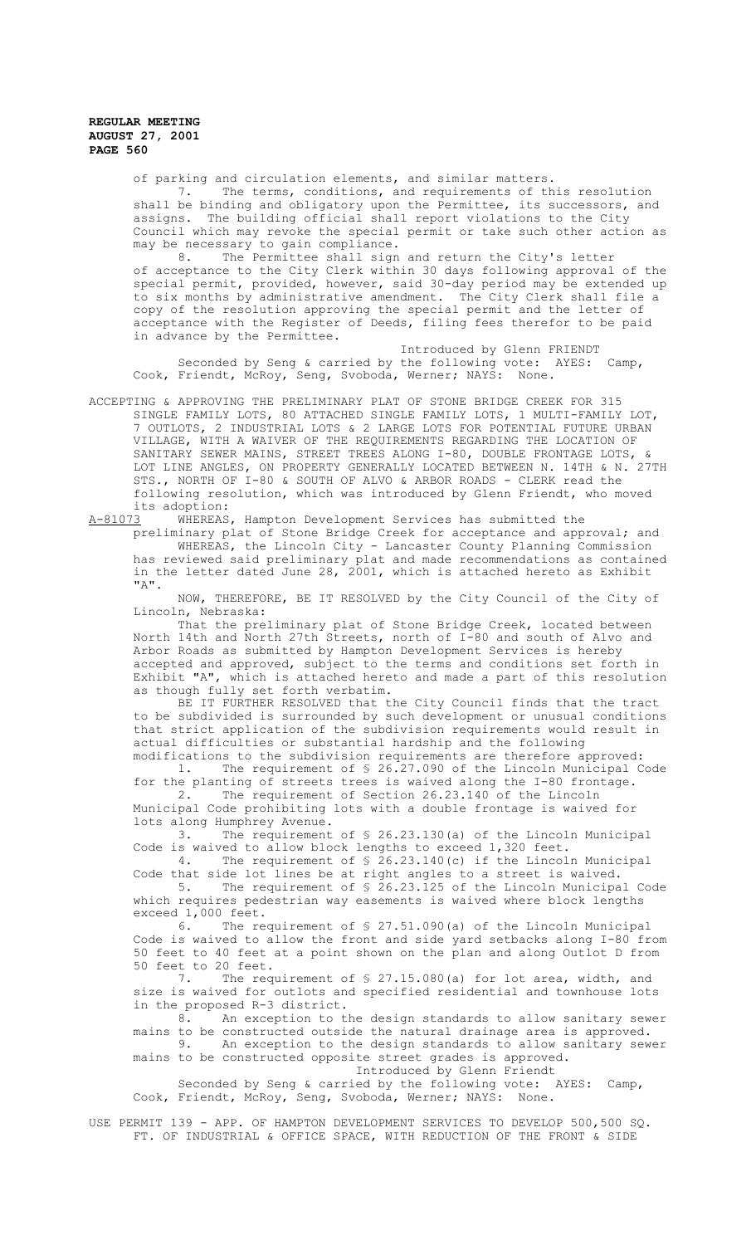of parking and circulation elements, and similar matters.

7. The terms, conditions, and requirements of this resolution shall be binding and obligatory upon the Permittee, its successors, and assigns. The building official shall report violations to the City Council which may revoke the special permit or take such other action as may be necessary to gain compliance.

The Permittee shall sign and return the City's letter of acceptance to the City Clerk within 30 days following approval of the special permit, provided, however, said 30-day period may be extended up to six months by administrative amendment. The City Clerk shall file a copy of the resolution approving the special permit and the letter of acceptance with the Register of Deeds, filing fees therefor to be paid in advance by the Permittee.

Introduced by Glenn FRIENDT Seconded by Seng & carried by the following vote: AYES: Camp, Cook, Friendt, McRoy, Seng, Svoboda, Werner; NAYS: None.

ACCEPTING & APPROVING THE PRELIMINARY PLAT OF STONE BRIDGE CREEK FOR 315 SINGLE FAMILY LOTS, 80 ATTACHED SINGLE FAMILY LOTS, 1 MULTI-FAMILY LOT, 7 OUTLOTS, 2 INDUSTRIAL LOTS & 2 LARGE LOTS FOR POTENTIAL FUTURE URBAN VILLAGE, WITH A WAIVER OF THE REQUIREMENTS REGARDING THE LOCATION OF SANITARY SEWER MAINS, STREET TREES ALONG I-80, DOUBLE FRONTAGE LOTS, & LOT LINE ANGLES, ON PROPERTY GENERALLY LOCATED BETWEEN N. 14TH & N. 27TH STS., NORTH OF I-80 & SOUTH OF ALVO & ARBOR ROADS - CLERK read the following resolution, which was introduced by Glenn Friendt, who moved its adoption:<br>A-81073 WHEREAS

WHEREAS, Hampton Development Services has submitted the

preliminary plat of Stone Bridge Creek for acceptance and approval; and WHEREAS, the Lincoln City - Lancaster County Planning Commission has reviewed said preliminary plat and made recommendations as contained in the letter dated June 28, 2001, which is attached hereto as Exhibit "A".

NOW, THEREFORE, BE IT RESOLVED by the City Council of the City of Lincoln, Nebraska:

That the preliminary plat of Stone Bridge Creek, located between North 14th and North 27th Streets, north of I-80 and south of Alvo and Arbor Roads as submitted by Hampton Development Services is hereby accepted and approved, subject to the terms and conditions set forth in Exhibit "A", which is attached hereto and made a part of this resolution as though fully set forth verbatim.

BE IT FURTHER RESOLVED that the City Council finds that the tract to be subdivided is surrounded by such development or unusual conditions that strict application of the subdivision requirements would result in actual difficulties or substantial hardship and the following modifications to the subdivision requirements are therefore approved:

1. The requirement of § 26.27.090 of the Lincoln Municipal Code for the planting of streets trees is waived along the I-80 frontage.

2. The requirement of Section 26.23.140 of the Lincoln Municipal Code prohibiting lots with a double frontage is waived for lots along Humphrey Avenue.<br>3. The requirement

The requirement of § 26.23.130(a) of the Lincoln Municipal Code is waived to allow block lengths to exceed 1,320 feet.

4. The requirement of § 26.23.140(c) if the Lincoln Municipal Code that side lot lines be at right angles to a street is waived. 5. The requirement of § 26.23.125 of the Lincoln Municipal Code which requires pedestrian way easements is waived where block lengths

exceed 1,000 feet.<br>6. The re The requirement of  $$27.51.090(a)$  of the Lincoln Municipal Code is waived to allow the front and side yard setbacks along I-80 from 50 feet to 40 feet at a point shown on the plan and along Outlot D from 50 feet to 20 feet.

7. The requirement of § 27.15.080(a) for lot area, width, and size is waived for outlots and specified residential and townhouse lots in the proposed R-3 district.<br>8. An exception to t

An exception to the design standards to allow sanitary sewer mains to be constructed outside the natural drainage area is approved. 9. An exception to the design standards to allow sanitary sewer mains to be constructed opposite street grades is approved.

Introduced by Glenn Friendt

Seconded by Seng & carried by the following vote: AYES: Camp, Cook, Friendt, McRoy, Seng, Svoboda, Werner; NAYS: None.

USE PERMIT 139 - APP. OF HAMPTON DEVELOPMENT SERVICES TO DEVELOP 500,500 SQ. FT. OF INDUSTRIAL & OFFICE SPACE, WITH REDUCTION OF THE FRONT & SIDE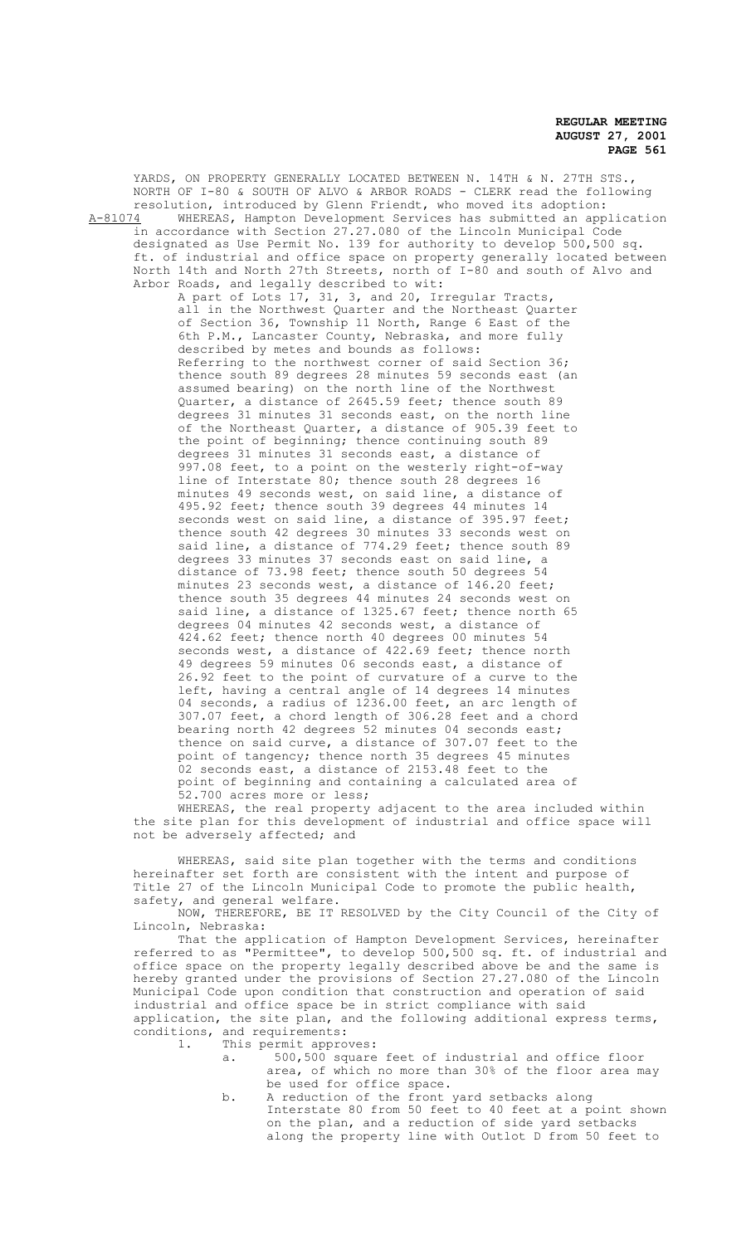YARDS, ON PROPERTY GENERALLY LOCATED BETWEEN N. 14TH & N. 27TH STS., NORTH OF I-80 & SOUTH OF ALVO & ARBOR ROADS - CLERK read the following resolution, introduced by Glenn Friendt, who moved its adoption: A-81074 WHEREAS, Hampton Development Services has submitted an application in accordance with Section 27.27.080 of the Lincoln Municipal Code designated as Use Permit No. 139 for authority to develop 500,500 sq. ft. of industrial and office space on property generally located between North 14th and North 27th Streets, north of I-80 and south of Alvo and Arbor Roads, and legally described to wit:

A part of Lots 17, 31, 3, and 20, Irregular Tracts, all in the Northwest Quarter and the Northeast Quarter of Section 36, Township 11 North, Range 6 East of the 6th P.M., Lancaster County, Nebraska, and more fully described by metes and bounds as follows: Referring to the northwest corner of said Section 36; thence south 89 degrees 28 minutes 59 seconds east (an assumed bearing) on the north line of the Northwest Quarter, a distance of 2645.59 feet; thence south 89 degrees 31 minutes 31 seconds east, on the north line of the Northeast Quarter, a distance of 905.39 feet to the point of beginning; thence continuing south 89 degrees 31 minutes 31 seconds east, a distance of 997.08 feet, to a point on the westerly right-of-way line of Interstate 80; thence south 28 degrees 16 minutes 49 seconds west, on said line, a distance of 495.92 feet; thence south 39 degrees 44 minutes 14 seconds west on said line, a distance of 395.97 feet; thence south 42 degrees 30 minutes 33 seconds west on said line, a distance of 774.29 feet; thence south 89 degrees 33 minutes 37 seconds east on said line, a distance of  $73.98$  feet; thence south 50 degrees minutes 23 seconds west, a distance of 146.20 feet; thence south 35 degrees 44 minutes 24 seconds west on said line, a distance of 1325.67 feet; thence north 65 degrees 04 minutes 42 seconds west, a distance of 424.62 feet; thence north 40 degrees 00 minutes 54 seconds west, a distance of 422.69 feet; thence north 49 degrees 59 minutes 06 seconds east, a distance of 26.92 feet to the point of curvature of a curve to the left, having a central angle of 14 degrees 14 minutes 04 seconds, a radius of 1236.00 feet, an arc length of 307.07 feet, a chord length of 306.28 feet and a chord bearing north 42 degrees 52 minutes 04 seconds east; thence on said curve, a distance of 307.07 feet to the point of tangency; thence north 35 degrees 45 minutes 02 seconds east, a distance of 2153.48 feet to the point of beginning and containing a calculated area of 52.700 acres more or less;

WHEREAS, the real property adjacent to the area included within the site plan for this development of industrial and office space will not be adversely affected; and

WHEREAS, said site plan together with the terms and conditions hereinafter set forth are consistent with the intent and purpose of Title 27 of the Lincoln Municipal Code to promote the public health, safety, and general welfare.

NOW, THEREFORE, BE IT RESOLVED by the City Council of the City of Lincoln, Nebraska:

That the application of Hampton Development Services, hereinafter referred to as "Permittee", to develop 500,500 sq. ft. of industrial and office space on the property legally described above be and the same is hereby granted under the provisions of Section 27.27.080 of the Lincoln Municipal Code upon condition that construction and operation of said industrial and office space be in strict compliance with said application, the site plan, and the following additional express terms, conditions, and requirements:

- 1. This permit approves:
	- a. 500,500 square feet of industrial and office floor area, of which no more than 30% of the floor area may be used for office space.
	- b. A reduction of the front yard setbacks along Interstate 80 from 50 feet to 40 feet at a point shown on the plan, and a reduction of side yard setbacks along the property line with Outlot D from 50 feet to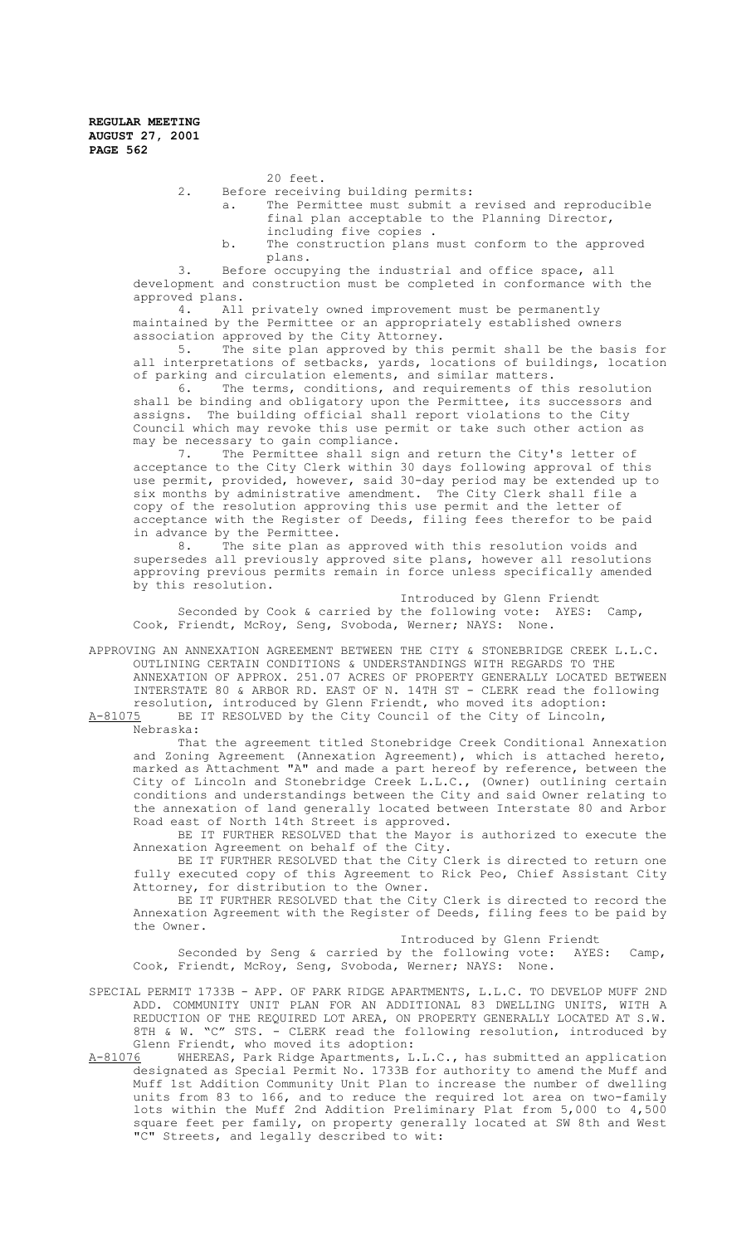- 20 feet.
- 2. Before receiving building permits:
	- a. The Permittee must submit a revised and reproducible final plan acceptable to the Planning Director, including five copies .
	- b. The construction plans must conform to the approved plans.

3. Before occupying the industrial and office space, all development and construction must be completed in conformance with the approved plans.

4. All privately owned improvement must be permanently maintained by the Permittee or an appropriately established owners association approved by the City Attorney.

5. The site plan approved by this permit shall be the basis for all interpretations of setbacks, yards, locations of buildings, location of parking and circulation elements, and similar matters.

6. The terms, conditions, and requirements of this resolution shall be binding and obligatory upon the Permittee, its successors and assigns. The building official shall report violations to the City Council which may revoke this use permit or take such other action as may be necessary to gain compliance.

7. The Permittee shall sign and return the City's letter of acceptance to the City Clerk within 30 days following approval of this use permit, provided, however, said 30-day period may be extended up to six months by administrative amendment. The City Clerk shall file a copy of the resolution approving this use permit and the letter of acceptance with the Register of Deeds, filing fees therefor to be paid in advance by the Permittee.

8. The site plan as approved with this resolution voids and supersedes all previously approved site plans, however all resolutions approving previous permits remain in force unless specifically amended by this resolution.

Introduced by Glenn Friendt Seconded by Cook & carried by the following vote: AYES: Camp, Cook, Friendt, McRoy, Seng, Svoboda, Werner; NAYS: None.

APPROVING AN ANNEXATION AGREEMENT BETWEEN THE CITY & STONEBRIDGE CREEK L.L.C. OUTLINING CERTAIN CONDITIONS & UNDERSTANDINGS WITH REGARDS TO THE ANNEXATION OF APPROX. 251.07 ACRES OF PROPERTY GENERALLY LOCATED BETWEEN INTERSTATE 80 & ARBOR RD. EAST OF N. 14TH ST - CLERK read the following resolution, introduced by Glenn Friendt, who moved its adoption:<br>A-81075 BE IT RESOLVED by the City Council of the City of Lincoln, BE IT RESOLVED by the City Council of the City of Lincoln,

Nebraska:

That the agreement titled Stonebridge Creek Conditional Annexation and Zoning Agreement (Annexation Agreement), which is attached hereto, marked as Attachment "A" and made a part hereof by reference, between the City of Lincoln and Stonebridge Creek L.L.C., (Owner) outlining certain conditions and understandings between the City and said Owner relating to the annexation of land generally located between Interstate 80 and Arbor Road east of North 14th Street is approved.

BE IT FURTHER RESOLVED that the Mayor is authorized to execute the Annexation Agreement on behalf of the City.

BE IT FURTHER RESOLVED that the City Clerk is directed to return one fully executed copy of this Agreement to Rick Peo, Chief Assistant City Attorney, for distribution to the Owner.

BE IT FURTHER RESOLVED that the City Clerk is directed to record the Annexation Agreement with the Register of Deeds, filing fees to be paid by the Owner.

# Introduced by Glenn Friendt

Seconded by Seng & carried by the following vote: AYES: Camp, Cook, Friendt, McRoy, Seng, Svoboda, Werner; NAYS: None.

SPECIAL PERMIT 1733B - APP. OF PARK RIDGE APARTMENTS, L.L.C. TO DEVELOP MUFF 2ND ADD. COMMUNITY UNIT PLAN FOR AN ADDITIONAL 83 DWELLING UNITS, WITH A REDUCTION OF THE REQUIRED LOT AREA, ON PROPERTY GENERALLY LOCATED AT S.W. 8TH & W. "C" STS. - CLERK read the following resolution, introduced by Glenn Friendt, who moved its adoption:<br>A-81076 WHEREAS, Park Ridge Apartments, L

WHEREAS, Park Ridge Apartments, L.L.C., has submitted an application designated as Special Permit No. 1733B for authority to amend the Muff and Muff 1st Addition Community Unit Plan to increase the number of dwelling units from 83 to 166, and to reduce the required lot area on two-family lots within the Muff 2nd Addition Preliminary Plat from 5,000 to 4,500 square feet per family, on property generally located at SW 8th and West "C" Streets, and legally described to wit: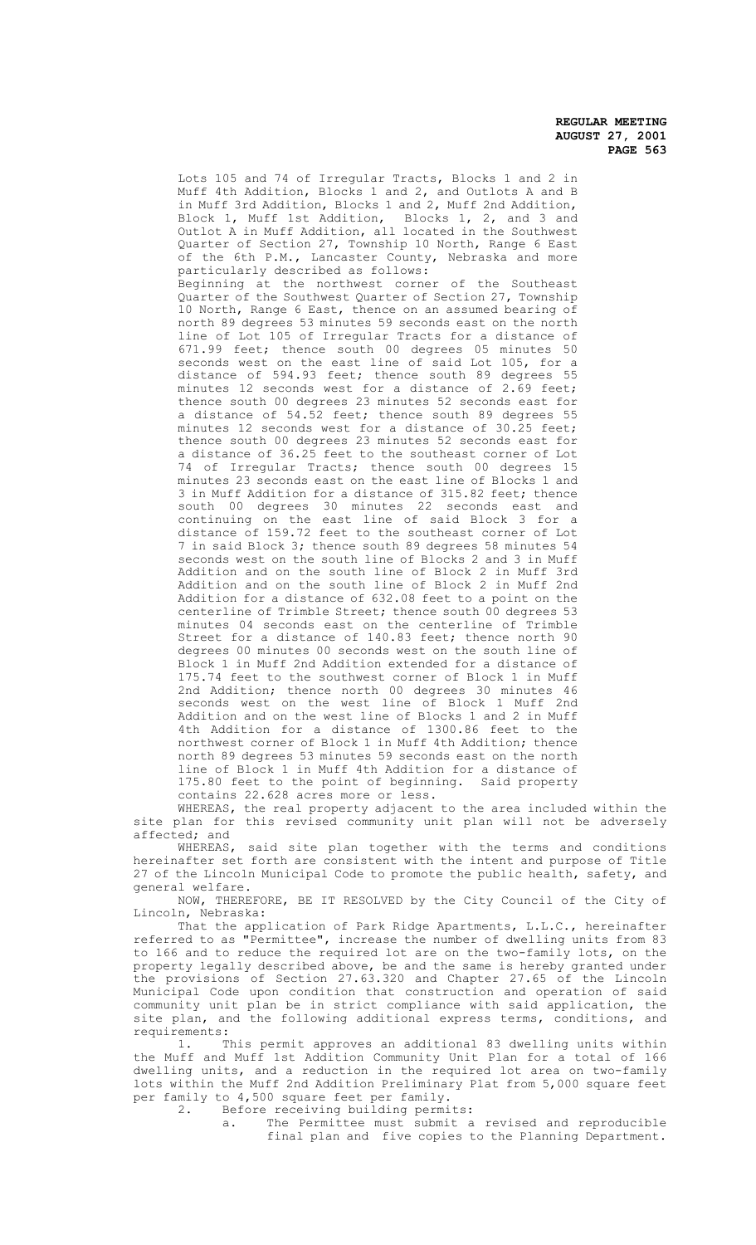Lots 105 and 74 of Irregular Tracts, Blocks 1 and 2 in Muff 4th Addition, Blocks 1 and 2, and Outlots A and B in Muff 3rd Addition, Blocks 1 and 2, Muff 2nd Addition, Block 1, Muff 1st Addition, Blocks 1, 2, and 3 and Outlot A in Muff Addition, all located in the Southwest Quarter of Section 27, Township 10 North, Range 6 East of the 6th P.M., Lancaster County, Nebraska and more particularly described as follows: .<br>Beginning at the northwest corner of the Southeast Quarter of the Southwest Quarter of Section 27, Township 10 North, Range 6 East, thence on an assumed bearing of north 89 degrees 53 minutes 59 seconds east on the north line of Lot 105 of Irregular Tracts for a distance of

671.99 feet; thence south 00 degrees 05 minutes 50 seconds west on the east line of said Lot 105, for a distance of 594.93 feet; thence south 89 degrees 55 minutes 12 seconds west for a distance of 2.69 feet; thence south 00 degrees 23 minutes 52 seconds east for a distance of 54.52 feet; thence south 89 degrees 55 minutes 12 seconds west for a distance of 30.25 feet; thence south 00 degrees 23 minutes 52 seconds east for a distance of 36.25 feet to the southeast corner of Lot 74 of Irregular Tracts; thence south 00 degrees 15 minutes 23 seconds east on the east line of Blocks 1 and 3 in Muff Addition for a distance of 315.82 feet; thence south 00 degrees 30 minutes 22 seconds east and continuing on the east line of said Block 3 for a distance of 159.72 feet to the southeast corner of Lot 7 in said Block 3; thence south 89 degrees 58 minutes 54 seconds west on the south line of Blocks 2 and 3 in Muff Addition and on the south line of Block 2 in Muff 3rd Addition and on the south line of Block 2 in Muff 2nd Addition for a distance of 632.08 feet to a point on the centerline of Trimble Street; thence south 00 degrees 53 minutes 04 seconds east on the centerline of Trimble Street for a distance of 140.83 feet; thence north 90 degrees 00 minutes 00 seconds west on the south line of Block 1 in Muff 2nd Addition extended for a distance of 175.74 feet to the southwest corner of Block 1 in Muff 2nd Addition; thence north 00 degrees 30 minutes 46 seconds west on the west line of Block 1 Muff 2nd Addition and on the west line of Blocks 1 and 2 in Muff 4th Addition for a distance of 1300.86 feet to the northwest corner of Block 1 in Muff 4th Addition; thence north 89 degrees 53 minutes 59 seconds east on the north line of Block 1 in Muff 4th Addition for a distance of 175.80 feet to the point of beginning. Said property contains 22.628 acres more or less.

WHEREAS, the real property adjacent to the area included within the site plan for this revised community unit plan will not be adversely affected; and

WHEREAS, said site plan together with the terms and conditions hereinafter set forth are consistent with the intent and purpose of Title 27 of the Lincoln Municipal Code to promote the public health, safety, and general welfare.

NOW, THEREFORE, BE IT RESOLVED by the City Council of the City of Lincoln, Nebraska:

That the application of Park Ridge Apartments, L.L.C., hereinafter referred to as "Permittee", increase the number of dwelling units from 83 to 166 and to reduce the required lot are on the two-family lots, on the property legally described above, be and the same is hereby granted under the provisions of Section 27.63.320 and Chapter 27.65 of the Lincoln Municipal Code upon condition that construction and operation of said community unit plan be in strict compliance with said application, the site plan, and the following additional express terms, conditions, and

requirements:<br>1. T This permit approves an additional 83 dwelling units within the Muff and Muff 1st Addition Community Unit Plan for a total of 166 dwelling units, and a reduction in the required lot area on two-family lots within the Muff 2nd Addition Preliminary Plat from 5,000 square feet per family to 4,500 square feet per family.

2. Before receiving building permits:

a. The Permittee must submit a revised and reproducible final plan and five copies to the Planning Department.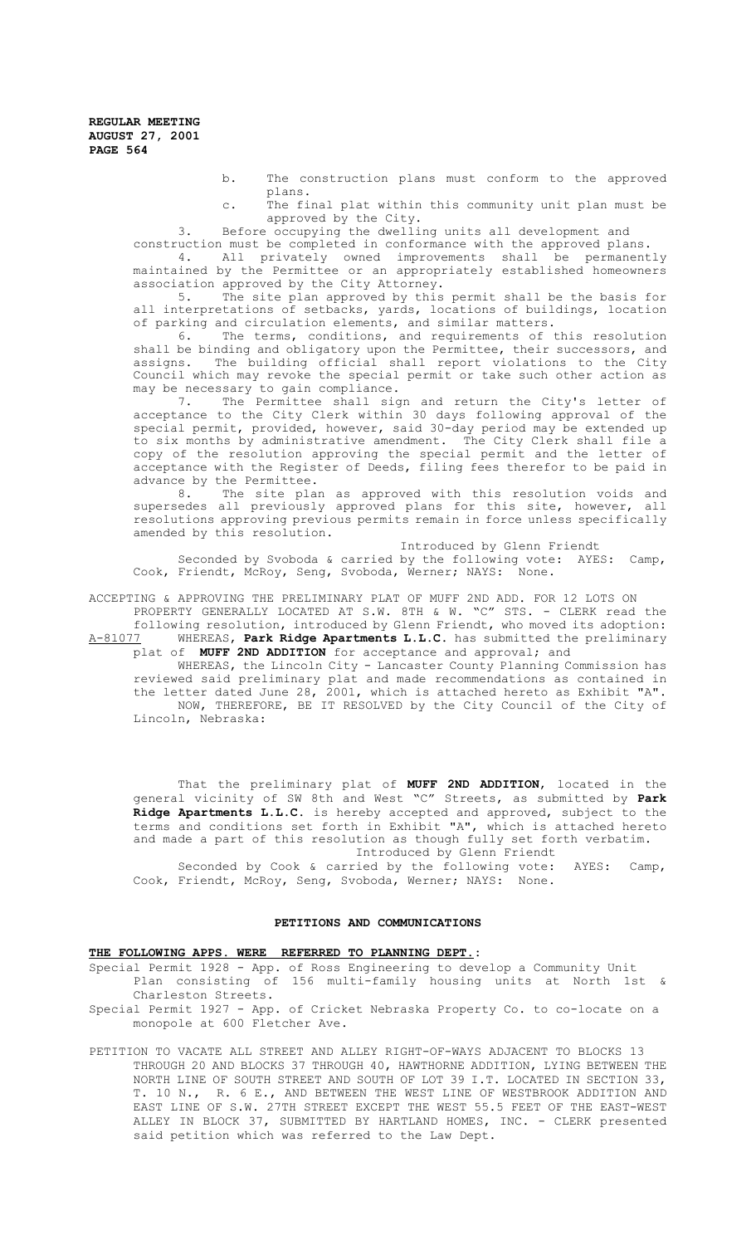- b. The construction plans must conform to the approved plans.
- c. The final plat within this community unit plan must be approved by the City.

3. Before occupying the dwelling units all development and

construction must be completed in conformance with the approved plans. 4. All privately owned improvements shall be permanently maintained by the Permittee or an appropriately established homeowners association approved by the City Attorney.

5. The site plan approved by this permit shall be the basis for all interpretations of setbacks, yards, locations of buildings, location of parking and circulation elements, and similar matters.<br>6. The terms, conditions, and requirements of

The terms, conditions, and requirements of this resolution shall be binding and obligatory upon the Permittee, their successors, and assigns. The building official shall report violations to the City Council which may revoke the special permit or take such other action as may be necessary to gain compliance.

7. The Permittee shall sign and return the City's letter of acceptance to the City Clerk within 30 days following approval of the special permit, provided, however, said 30-day period may be extended up to six months by administrative amendment. The City Clerk shall file a copy of the resolution approving the special permit and the letter of acceptance with the Register of Deeds, filing fees therefor to be paid in advance by the Permittee.

8. The site plan as approved with this resolution voids and supersedes all previously approved plans for this site, however, all resolutions approving previous permits remain in force unless specifically amended by this resolution.

Introduced by Glenn Friendt Seconded by Svoboda & carried by the following vote: AYES: Camp,<br>Friendt, McRov, Seng, Svoboda, Werner; NAYS: None. Cook, Friendt, McRoy, Seng, Svoboda, Werner; NAYS:

ACCEPTING & APPROVING THE PRELIMINARY PLAT OF MUFF 2ND ADD. FOR 12 LOTS ON

PROPERTY GENERALLY LOCATED AT S.W. 8TH & W. "C" STS. - CLERK read the following resolution, introduced by Glenn Friendt, who moved its adoption: A-81077 WHEREAS, **Park Ridge Apartments L.L.C.** has submitted the preliminary plat of **MUFF 2ND ADDITION** for acceptance and approval; and

WHEREAS, the Lincoln City - Lancaster County Planning Commission has reviewed said preliminary plat and made recommendations as contained in the letter dated June 28, 2001, which is attached hereto as Exhibit "A". NOW, THEREFORE, BE IT RESOLVED by the City Council of the City of Lincoln, Nebraska:

That the preliminary plat of **MUFF 2ND ADDITION**, located in the general vicinity of SW 8th and West "C" Streets, as submitted by **Park Ridge Apartments L.L.C.** is hereby accepted and approved, subject to the terms and conditions set forth in Exhibit "A", which is attached hereto and made a part of this resolution as though fully set forth verbatim.

Introduced by Glenn Friendt Seconded by Cook & carried by the following vote: AYES: Camp, Cook, Friendt, McRoy, Seng, Svoboda, Werner; NAYS: None.

# **PETITIONS AND COMMUNICATIONS**

### **THE FOLLOWING APPS. WERE REFERRED TO PLANNING DEPT.:**

Special Permit 1928 - App. of Ross Engineering to develop a Community Unit Plan consisting of 156 multi-family housing units at North 1st & Charleston Streets.

- Special Permit 1927 App. of Cricket Nebraska Property Co. to co-locate on a monopole at 600 Fletcher Ave.
- PETITION TO VACATE ALL STREET AND ALLEY RIGHT-OF-WAYS ADJACENT TO BLOCKS 13 THROUGH 20 AND BLOCKS 37 THROUGH 40, HAWTHORNE ADDITION, LYING BETWEEN THE NORTH LINE OF SOUTH STREET AND SOUTH OF LOT 39 I.T. LOCATED IN SECTION 33, T. 10 N., R. 6 E., AND BETWEEN THE WEST LINE OF WESTBROOK ADDITION AND EAST LINE OF S.W. 27TH STREET EXCEPT THE WEST 55.5 FEET OF THE EAST-WEST ALLEY IN BLOCK 37, SUBMITTED BY HARTLAND HOMES, INC. - CLERK presented said petition which was referred to the Law Dept.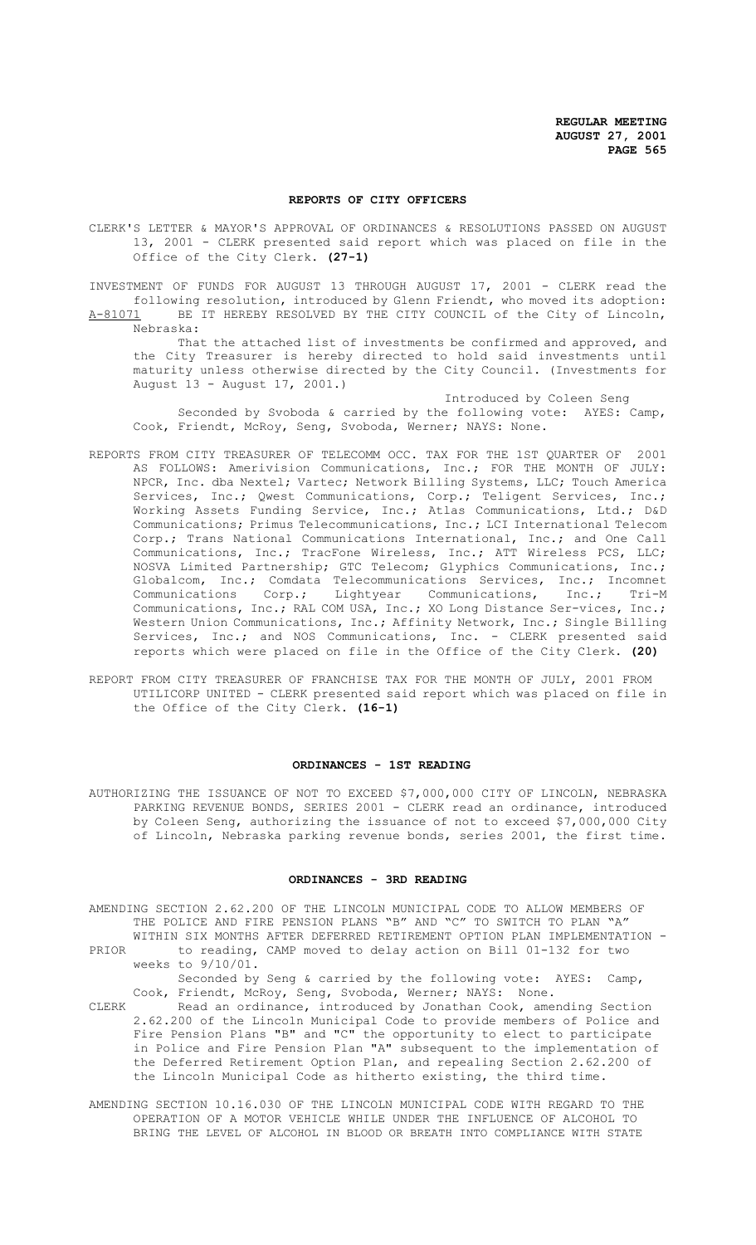### **REPORTS OF CITY OFFICERS**

CLERK'S LETTER & MAYOR'S APPROVAL OF ORDINANCES & RESOLUTIONS PASSED ON AUGUST 13, 2001 - CLERK presented said report which was placed on file in the Office of the City Clerk. **(27-1)**

INVESTMENT OF FUNDS FOR AUGUST 13 THROUGH AUGUST 17, 2001 - CLERK read the following resolution, introduced by Glenn Friendt, who moved its adoption: A-81071 BE IT HEREBY RESOLVED BY THE CITY COUNCIL of the City of Lincoln,

Nebraska:

That the attached list of investments be confirmed and approved, and the City Treasurer is hereby directed to hold said investments until maturity unless otherwise directed by the City Council. (Investments for August 13 - August 17, 2001.)

Introduced by Coleen Seng

Seconded by Svoboda & carried by the following vote: AYES: Camp, Cook, Friendt, McRoy, Seng, Svoboda, Werner; NAYS: None.

- REPORTS FROM CITY TREASURER OF TELECOMM OCC. TAX FOR THE 1ST QUARTER OF 2001 AS FOLLOWS: Amerivision Communications, Inc.; FOR THE MONTH OF JULY: NPCR, Inc. dba Nextel; Vartec; Network Billing Systems, LLC; Touch America Services, Inc.; Qwest Communications, Corp.; Teligent Services, Inc.; Working Assets Funding Service, Inc.; Atlas Communications, Ltd.; D&D Communications; Primus Telecommunications, Inc.; LCI International Telecom Corp.; Trans National Communications International, Inc.; and One Call Communications, Inc.; TracFone Wireless, Inc.; ATT Wireless PCS, LLC; NOSVA Limited Partnership; GTC Telecom; Glyphics Communications, Inc.; Globalcom, Inc.; Comdata Telecommunications Services, Inc.; Incomnet Communications Corp.; Lightyear Communications, Inc.; Tri-M Communications, Inc.; RAL COM USA, Inc.; XO Long Distance Ser-vices, Inc.; Western Union Communications, Inc.; Affinity Network, Inc.; Single Billing Services, Inc.; and NOS Communications, Inc. - CLERK presented said reports which were placed on file in the Office of the City Clerk. **(20)**
- REPORT FROM CITY TREASURER OF FRANCHISE TAX FOR THE MONTH OF JULY, 2001 FROM UTILICORP UNITED - CLERK presented said report which was placed on file in the Office of the City Clerk. **(16-1)**

### **ORDINANCES - 1ST READING**

AUTHORIZING THE ISSUANCE OF NOT TO EXCEED \$7,000,000 CITY OF LINCOLN, NEBRASKA PARKING REVENUE BONDS, SERIES 2001 - CLERK read an ordinance, introduced by Coleen Seng, authorizing the issuance of not to exceed \$7,000,000 City of Lincoln, Nebraska parking revenue bonds, series 2001, the first time.

### **ORDINANCES - 3RD READING**

AMENDING SECTION 2.62.200 OF THE LINCOLN MUNICIPAL CODE TO ALLOW MEMBERS OF THE POLICE AND FIRE PENSION PLANS "B" AND "C" TO SWITCH TO PLAN "A" WITHIN SIX MONTHS AFTER DEFERRED RETIREMENT OPTION PLAN IMPLEMENTATION - PRIOR to reading, CAMP moved to delay action on Bill 01-132 for two weeks to 9/10/01.

Seconded by Seng & carried by the following vote: AYES: Camp, Cook, Friendt, McRoy, Seng, Svoboda, Werner; NAYS: None.

CLERK Read an ordinance, introduced by Jonathan Cook, amending Section 2.62.200 of the Lincoln Municipal Code to provide members of Police and Fire Pension Plans "B" and "C" the opportunity to elect to participate in Police and Fire Pension Plan "A" subsequent to the implementation of the Deferred Retirement Option Plan, and repealing Section 2.62.200 of the Lincoln Municipal Code as hitherto existing, the third time.

AMENDING SECTION 10.16.030 OF THE LINCOLN MUNICIPAL CODE WITH REGARD TO THE OPERATION OF A MOTOR VEHICLE WHILE UNDER THE INFLUENCE OF ALCOHOL TO BRING THE LEVEL OF ALCOHOL IN BLOOD OR BREATH INTO COMPLIANCE WITH STATE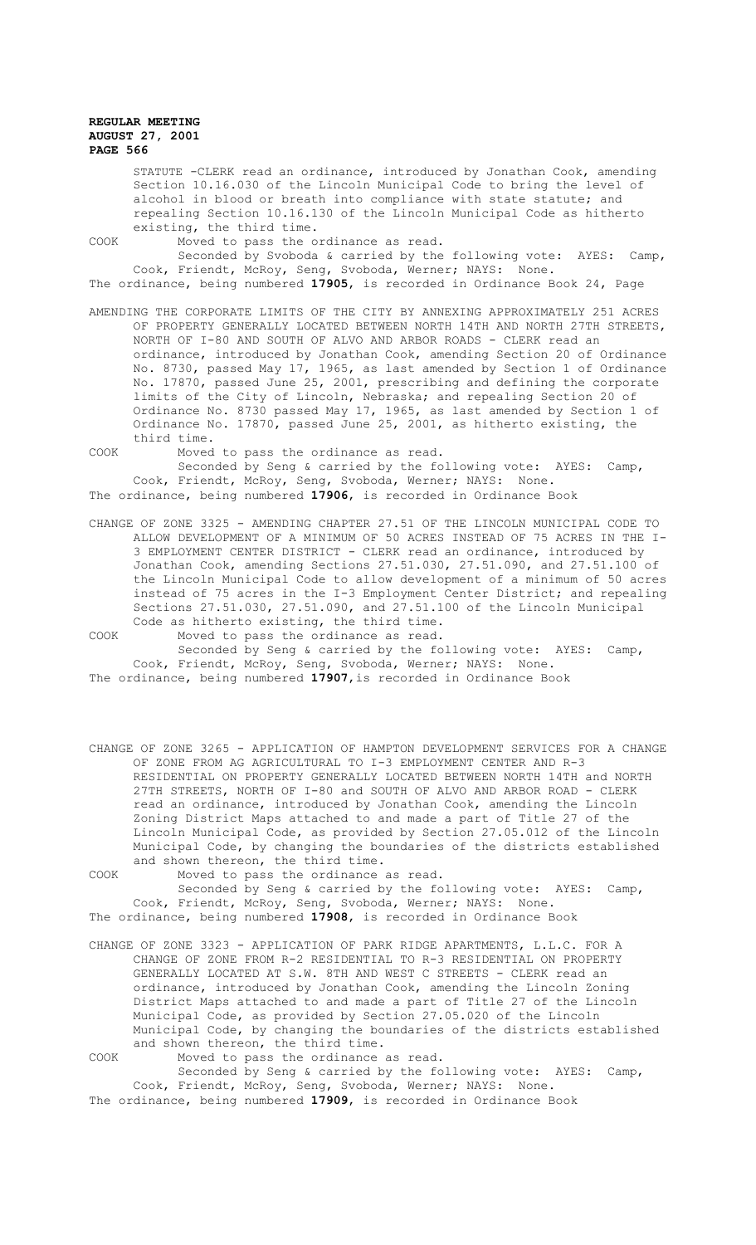STATUTE -CLERK read an ordinance, introduced by Jonathan Cook, amending Section 10.16.030 of the Lincoln Municipal Code to bring the level of alcohol in blood or breath into compliance with state statute; and repealing Section 10.16.130 of the Lincoln Municipal Code as hitherto existing, the third time.

COOK Moved to pass the ordinance as read.

Seconded by Svoboda & carried by the following vote: AYES: Camp, Cook, Friendt, McRoy, Seng, Svoboda, Werner; NAYS: None.

The ordinance, being numbered **17905**, is recorded in Ordinance Book 24, Page

AMENDING THE CORPORATE LIMITS OF THE CITY BY ANNEXING APPROXIMATELY 251 ACRES OF PROPERTY GENERALLY LOCATED BETWEEN NORTH 14TH AND NORTH 27TH STREETS, NORTH OF I-80 AND SOUTH OF ALVO AND ARBOR ROADS - CLERK read an ordinance, introduced by Jonathan Cook, amending Section 20 of Ordinance No. 8730, passed May 17, 1965, as last amended by Section 1 of Ordinance No. 17870, passed June 25, 2001, prescribing and defining the corporate limits of the City of Lincoln, Nebraska; and repealing Section 20 of Ordinance No. 8730 passed May 17, 1965, as last amended by Section 1 of Ordinance No. 17870, passed June 25, 2001, as hitherto existing, the third time.

COOK Moved to pass the ordinance as read. Seconded by Seng & carried by the following vote: AYES: Camp, Cook, Friendt, McRoy, Seng, Svoboda, Werner; NAYS: None. The ordinance, being numbered **17906**, is recorded in Ordinance Book

CHANGE OF ZONE 3325 - AMENDING CHAPTER 27.51 OF THE LINCOLN MUNICIPAL CODE TO ALLOW DEVELOPMENT OF A MINIMUM OF 50 ACRES INSTEAD OF 75 ACRES IN THE I-3 EMPLOYMENT CENTER DISTRICT - CLERK read an ordinance, introduced by Jonathan Cook, amending Sections 27.51.030, 27.51.090, and 27.51.100 of the Lincoln Municipal Code to allow development of a minimum of 50 acres instead of 75 acres in the I-3 Employment Center District; and repealing Sections 27.51.030, 27.51.090, and 27.51.100 of the Lincoln Municipal Code as hitherto existing, the third time.

COOK Moved to pass the ordinance as read. Seconded by Seng & carried by the following vote: AYES: Camp, Cook, Friendt, McRoy, Seng, Svoboda, Werner; NAYS: None. The ordinance, being numbered **17907**,is recorded in Ordinance Book

CHANGE OF ZONE 3265 - APPLICATION OF HAMPTON DEVELOPMENT SERVICES FOR A CHANGE OF ZONE FROM AG AGRICULTURAL TO I-3 EMPLOYMENT CENTER AND R-3 RESIDENTIAL ON PROPERTY GENERALLY LOCATED BETWEEN NORTH 14TH and NORTH 27TH STREETS, NORTH OF I-80 and SOUTH OF ALVO AND ARBOR ROAD - CLERK read an ordinance, introduced by Jonathan Cook, amending the Lincoln Zoning District Maps attached to and made a part of Title 27 of the Lincoln Municipal Code, as provided by Section 27.05.012 of the Lincoln Municipal Code, by changing the boundaries of the districts established and shown thereon, the third time.

COOK Moved to pass the ordinance as read. Seconded by Seng & carried by the following vote: AYES: Camp, Cook, Friendt, McRoy, Seng, Svoboda, Werner; NAYS: None. The ordinance, being numbered **17908**, is recorded in Ordinance Book

CHANGE OF ZONE 3323 - APPLICATION OF PARK RIDGE APARTMENTS, L.L.C. FOR A CHANGE OF ZONE FROM R-2 RESIDENTIAL TO R-3 RESIDENTIAL ON PROPERTY GENERALLY LOCATED AT S.W. 8TH AND WEST C STREETS - CLERK read an ordinance, introduced by Jonathan Cook, amending the Lincoln Zoning District Maps attached to and made a part of Title 27 of the Lincoln Municipal Code, as provided by Section 27.05.020 of the Lincoln Municipal Code, by changing the boundaries of the districts established and shown thereon, the third time.

COOK Moved to pass the ordinance as read. Seconded by Seng & carried by the following vote: AYES: Camp, Cook, Friendt, McRoy, Seng, Svoboda, Werner; NAYS: None. The ordinance, being numbered **17909**, is recorded in Ordinance Book